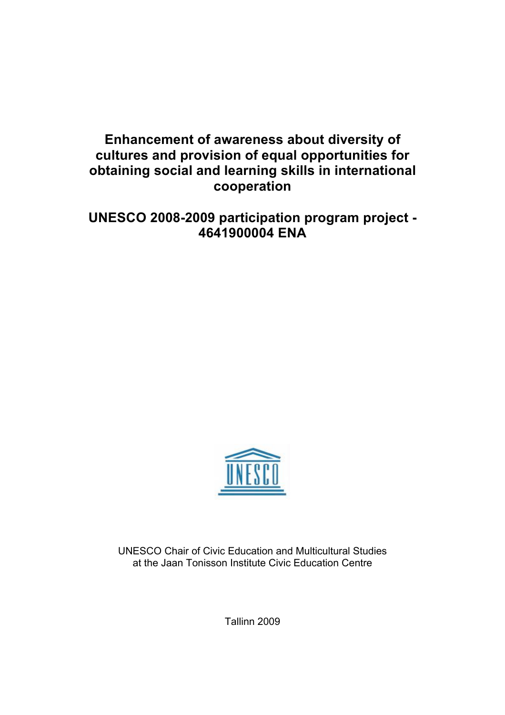# **Enhancement of awareness about diversity of cultures and provision of equal opportunities for obtaining social and learning skills in international cooperation**

# **UNESCO 2008-2009 participation program project - 4641900004 ENA**



UNESCO Chair of Civic Education and Multicultural Studies at the Jaan Tonisson Institute Civic Education Centre

Tallinn 2009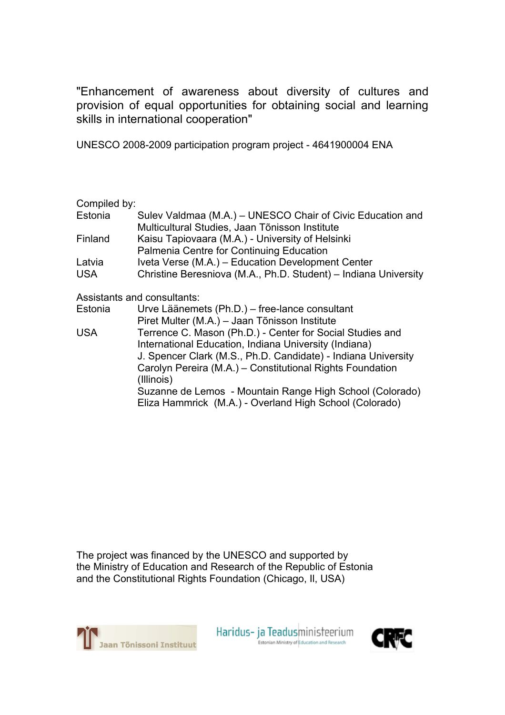"Enhancement of awareness about diversity of cultures and provision of equal opportunities for obtaining social and learning skills in international cooperation"

UNESCO 2008-2009 participation program project - 4641900004 ENA

Compiled by:

| Estonia    | Sulev Valdmaa (M.A.) – UNESCO Chair of Civic Education and      |
|------------|-----------------------------------------------------------------|
|            | Multicultural Studies, Jaan Tõnisson Institute                  |
| Finland    | Kaisu Tapiovaara (M.A.) - University of Helsinki                |
|            | Palmenia Centre for Continuing Education                        |
| Latvia     | Iveta Verse (M.A.) – Education Development Center               |
| <b>USA</b> | Christine Beresniova (M.A., Ph.D. Student) – Indiana University |
|            |                                                                 |

Assistants and consultants:

| Estonia |  |  |  |  |  | Urve Läänemets (Ph.D.) – free-lance consultant |  |
|---------|--|--|--|--|--|------------------------------------------------|--|
|         |  |  |  |  |  |                                                |  |

|            | Piret Multer (M.A.) - Jaan Tõnisson Institute                                                                       |
|------------|---------------------------------------------------------------------------------------------------------------------|
| <b>USA</b> | Terrence C. Mason (Ph.D.) - Center for Social Studies and                                                           |
|            | International Education, Indiana University (Indiana)                                                               |
|            | J. Spencer Clark (M.S., Ph.D. Candidate) - Indiana University                                                       |
|            | Carolyn Pereira (M.A.) – Constitutional Rights Foundation                                                           |
|            | (Illinois)                                                                                                          |
|            | Suzanne de Lemos - Mountain Range High School (Colorado)<br>Eliza Hammrick (M.A.) - Overland High School (Colorado) |
|            |                                                                                                                     |

The project was financed by the UNESCO and supported by the Ministry of Education and Research of the Republic of Estonia and the Constitutional Rights Foundation (Chicago, Il, USA)



Haridus- ja Teadusministeerium Estonian Ministry of Education and Research

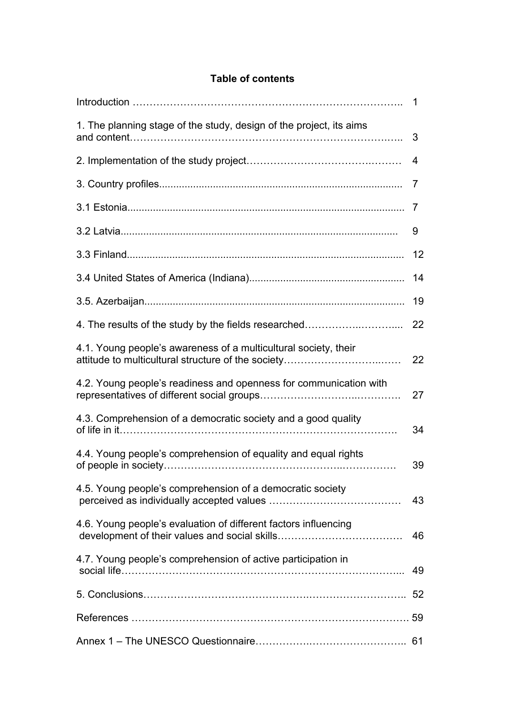# **Table of contents**

|                                                                     | 1  |
|---------------------------------------------------------------------|----|
| 1. The planning stage of the study, design of the project, its aims | 3  |
|                                                                     | 4  |
|                                                                     | 7  |
|                                                                     | 7  |
|                                                                     | 9  |
|                                                                     | 12 |
|                                                                     | 14 |
|                                                                     | 19 |
| 4. The results of the study by the fields researched                | 22 |
| 4.1. Young people's awareness of a multicultural society, their     | 22 |
| 4.2. Young people's readiness and openness for communication with   | 27 |
| 4.3. Comprehension of a democratic society and a good quality       | 34 |
| 4.4. Young people's comprehension of equality and equal rights      | 39 |
| 4.5. Young people's comprehension of a democratic society           | 43 |
| 4.6. Young people's evaluation of different factors influencing     | 46 |
| 4.7. Young people's comprehension of active participation in        | 49 |
|                                                                     |    |
|                                                                     |    |
|                                                                     |    |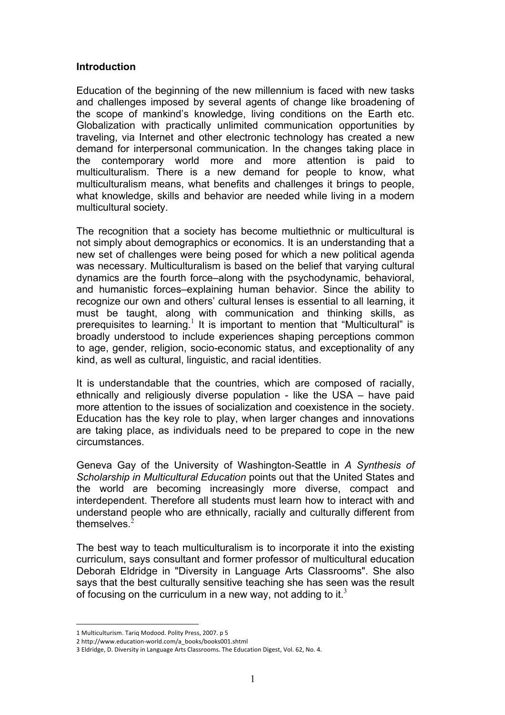#### **Introduction**

Education of the beginning of the new millennium is faced with new tasks and challenges imposed by several agents of change like broadening of the scope of mankind's knowledge, living conditions on the Earth etc. Globalization with practically unlimited communication opportunities by traveling, via Internet and other electronic technology has created a new demand for interpersonal communication. In the changes taking place in the contemporary world more and more attention is paid to multiculturalism. There is a new demand for people to know, what multiculturalism means, what benefits and challenges it brings to people, what knowledge, skills and behavior are needed while living in a modern multicultural society.

The recognition that a society has become multiethnic or multicultural is not simply about demographics or economics. It is an understanding that a new set of challenges were being posed for which a new political agenda was necessary. Multiculturalism is based on the belief that varying cultural dynamics are the fourth force–along with the psychodynamic, behavioral, and humanistic forces–explaining human behavior. Since the ability to recognize our own and others' cultural lenses is essential to all learning, it must be taught, along with communication and thinking skills, as prerequisites to learning.<sup>1</sup> It is important to mention that "Multicultural" is broadly understood to include experiences shaping perceptions common to age, gender, religion, socio-economic status, and exceptionality of any kind, as well as cultural, linguistic, and racial identities.

It is understandable that the countries, which are composed of racially, ethnically and religiously diverse population - like the USA – have paid more attention to the issues of socialization and coexistence in the society. Education has the key role to play, when larger changes and innovations are taking place, as individuals need to be prepared to cope in the new circumstances.

Geneva Gay of the University of Washington-Seattle in *A Synthesis of Scholarship in Multicultural Education* points out that the United States and the world are becoming increasingly more diverse, compact and interdependent. Therefore all students must learn how to interact with and understand people who are ethnically, racially and culturally different from themselves.<sup>2</sup>

The best way to teach multiculturalism is to incorporate it into the existing curriculum, says consultant and former professor of multicultural education Deborah Eldridge in "Diversity in Language Arts Classrooms". She also says that the best culturally sensitive teaching she has seen was the result of focusing on the curriculum in a new way, not adding to it.<sup>3</sup>

 $\overline{a}$ 

<sup>1</sup> Multiculturism. Tariq Modood. Polity Press, 2007. p 5

<sup>2</sup>http://www.education‐world.com/a\_books/books001.shtml

<sup>3</sup> Eldridge, D. Diversity in Language Arts Classrooms. The Education Digest, Vol. 62, No. 4.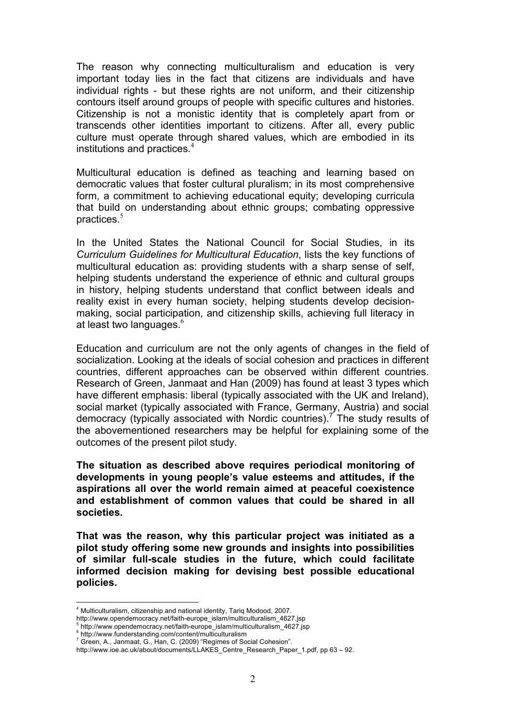The reason why connecting multiculturalism and education is very important today lies in the fact that citizens are individuals and have individual rights - but these rights are not uniform, and their citizenship contours itself around groups of people with specific cultures and histories. Citizenship is not a monistic identity that is completely apart from or transcends other identities important to citizens. After all, every public culture must operate through shared values, which are embodied in its institutions and practices. $4$ 

Multicultural education is defined as teaching and learning based on democratic values that foster cultural pluralism; in its most comprehensive form, a commitment to achieving educational equity; developing curricula that build on understanding about ethnic groups; combating oppressive practices.<sup>5</sup>

In the United States the National Council for Social Studies, in its *Curriculum Guidelines for Multicultural Education*, lists the key functions of multicultural education as: providing students with a sharp sense of self, helping students understand the experience of ethnic and cultural groups in history, helping students understand that conflict between ideals and reality exist in every human society, helping students develop decisionmaking, social participation, and citizenship skills, achieving full literacy in at least two languages.<sup>6</sup>

Education and curriculum are not the only agents of changes in the field of socialization. Looking at the ideals of social cohesion and practices in different countries, different approaches can be observed within different countries. Research of Green, Janmaat and Han (2009) has found at least 3 types which have different emphasis: liberal (typically associated with the UK and Ireland), social market (typically associated with France, Germany, Austria) and social democracy (typically associated with Nordic countries).<sup>7</sup> The study results of the abovementioned researchers may be helpful for explaining some of the outcomes of the present pilot study.

**The situation as described above requires periodical monitoring of developments in young people's value esteems and attitudes, if the aspirations all over the world remain aimed at peaceful coexistence and establishment of common values that could be shared in all societies.** 

**That was the reason, why this particular project was initiated as a pilot study offering some new grounds and insights into possibilities of similar full-scale studies in the future, which could facilitate informed decision making for devising best possible educational policies.**

 $\overline{a}$ 

<sup>4</sup> Multiculturalism, citizenship and national identity, Tariq Modood, 2007.

http://www.opendemocracy.net/faith-europe\_islam/multiculturalism\_4627.jsp<br><sup>5</sup>.http://www.opendemocracy.net/faith-europe\_islam/multiculturalism\_4627.jsp

<sup>&</sup>lt;sup>s</sup>http://www.opendemocracy.net/faith-europe\_islam/multiculturalism\_4627.jsp<br><sup>6</sup> http://www.funderstanding.com/content/multiculturalism<br><sup>7</sup> Crees A. Janmact, C. Uan. C. (2000) "Begimes of Secial Cebesian"

Green, A., Janmaat, G., Han, C. (2009) "Regimes of Social Cohesion".

http://www.ioe.ac.uk/about/documents/LLAKES\_Centre\_Research\_Paper\_1.pdf, pp 63 – 92.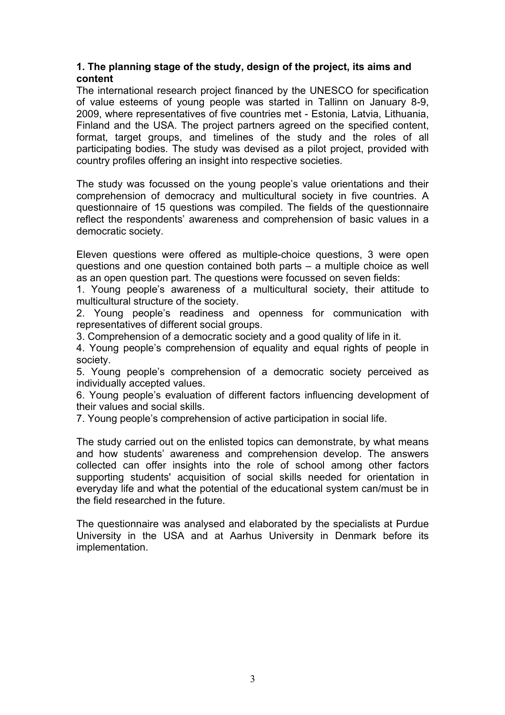# **1. The planning stage of the study, design of the project, its aims and content**

The international research project financed by the UNESCO for specification of value esteems of young people was started in Tallinn on January 8-9, 2009, where representatives of five countries met - Estonia, Latvia, Lithuania, Finland and the USA. The project partners agreed on the specified content, format, target groups, and timelines of the study and the roles of all participating bodies. The study was devised as a pilot project, provided with country profiles offering an insight into respective societies.

The study was focussed on the young people's value orientations and their comprehension of democracy and multicultural society in five countries. A questionnaire of 15 questions was compiled. The fields of the questionnaire reflect the respondents' awareness and comprehension of basic values in a democratic society.

Eleven questions were offered as multiple-choice questions, 3 were open questions and one question contained both parts – a multiple choice as well as an open question part. The questions were focussed on seven fields:

1. Young people's awareness of a multicultural society, their attitude to multicultural structure of the society.

2. Young people's readiness and openness for communication with representatives of different social groups.

3. Comprehension of a democratic society and a good quality of life in it.

4. Young people's comprehension of equality and equal rights of people in society.

5. Young people's comprehension of a democratic society perceived as individually accepted values.

6. Young people's evaluation of different factors influencing development of their values and social skills.

7. Young people's comprehension of active participation in social life.

The study carried out on the enlisted topics can demonstrate, by what means and how students' awareness and comprehension develop. The answers collected can offer insights into the role of school among other factors supporting students' acquisition of social skills needed for orientation in everyday life and what the potential of the educational system can/must be in the field researched in the future.

The questionnaire was analysed and elaborated by the specialists at Purdue University in the USA and at Aarhus University in Denmark before its implementation.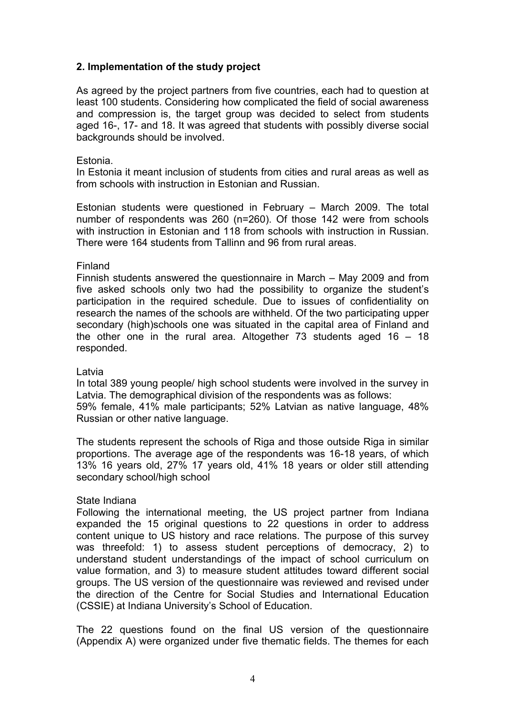# **2. Implementation of the study project**

As agreed by the project partners from five countries, each had to question at least 100 students. Considering how complicated the field of social awareness and compression is, the target group was decided to select from students aged 16-, 17- and 18. It was agreed that students with possibly diverse social backgrounds should be involved.

#### Estonia.

In Estonia it meant inclusion of students from cities and rural areas as well as from schools with instruction in Estonian and Russian.

Estonian students were questioned in February – March 2009. The total number of respondents was 260 (n=260). Of those 142 were from schools with instruction in Estonian and 118 from schools with instruction in Russian. There were 164 students from Tallinn and 96 from rural areas.

#### Finland

Finnish students answered the questionnaire in March – May 2009 and from five asked schools only two had the possibility to organize the student's participation in the required schedule. Due to issues of confidentiality on research the names of the schools are withheld. Of the two participating upper secondary (high)schools one was situated in the capital area of Finland and the other one in the rural area. Altogether 73 students aged 16 – 18 responded.

#### Latvia

In total 389 young people/ high school students were involved in the survey in Latvia. The demographical division of the respondents was as follows: 59% female, 41% male participants; 52% Latvian as native language, 48% Russian or other native language.

The students represent the schools of Riga and those outside Riga in similar proportions. The average age of the respondents was 16-18 years, of which 13% 16 years old, 27% 17 years old, 41% 18 years or older still attending secondary school/high school

# State Indiana

Following the international meeting, the US project partner from Indiana expanded the 15 original questions to 22 questions in order to address content unique to US history and race relations. The purpose of this survey was threefold: 1) to assess student perceptions of democracy, 2) to understand student understandings of the impact of school curriculum on value formation, and 3) to measure student attitudes toward different social groups. The US version of the questionnaire was reviewed and revised under the direction of the Centre for Social Studies and International Education (CSSIE) at Indiana University's School of Education.

The 22 questions found on the final US version of the questionnaire (Appendix A) were organized under five thematic fields. The themes for each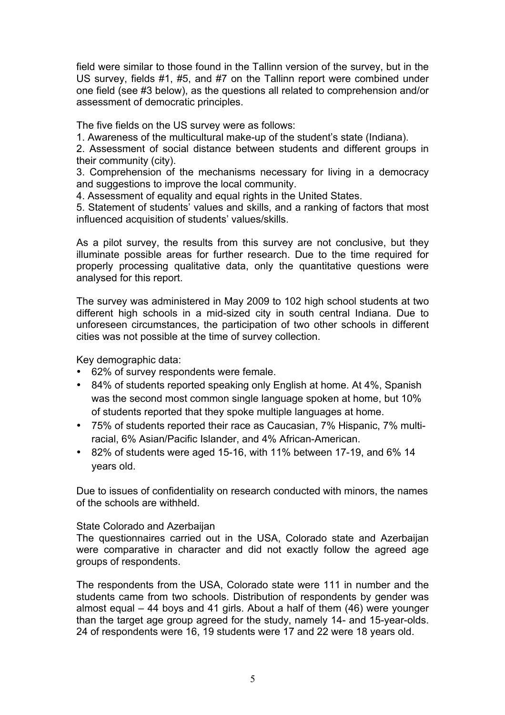field were similar to those found in the Tallinn version of the survey, but in the US survey, fields #1, #5, and #7 on the Tallinn report were combined under one field (see #3 below), as the questions all related to comprehension and/or assessment of democratic principles.

The five fields on the US survey were as follows:

1. Awareness of the multicultural make-up of the student's state (Indiana).

2. Assessment of social distance between students and different groups in their community (city).

3. Comprehension of the mechanisms necessary for living in a democracy and suggestions to improve the local community.

4. Assessment of equality and equal rights in the United States.

5. Statement of students' values and skills, and a ranking of factors that most influenced acquisition of students' values/skills.

As a pilot survey, the results from this survey are not conclusive, but they illuminate possible areas for further research. Due to the time required for properly processing qualitative data, only the quantitative questions were analysed for this report.

The survey was administered in May 2009 to 102 high school students at two different high schools in a mid-sized city in south central Indiana. Due to unforeseen circumstances, the participation of two other schools in different cities was not possible at the time of survey collection.

Key demographic data:

- 62% of survey respondents were female.
- 84% of students reported speaking only English at home. At 4%, Spanish was the second most common single language spoken at home, but 10% of students reported that they spoke multiple languages at home.
- 75% of students reported their race as Caucasian, 7% Hispanic, 7% multiracial, 6% Asian/Pacific Islander, and 4% African-American.
- 82% of students were aged 15-16, with 11% between 17-19, and 6% 14 years old.

Due to issues of confidentiality on research conducted with minors, the names of the schools are withheld.

#### State Colorado and Azerbaijan

The questionnaires carried out in the USA, Colorado state and Azerbaijan were comparative in character and did not exactly follow the agreed age groups of respondents.

The respondents from the USA, Colorado state were 111 in number and the students came from two schools. Distribution of respondents by gender was almost equal – 44 boys and 41 girls. About a half of them (46) were younger than the target age group agreed for the study, namely 14- and 15-year-olds. 24 of respondents were 16, 19 students were 17 and 22 were 18 years old.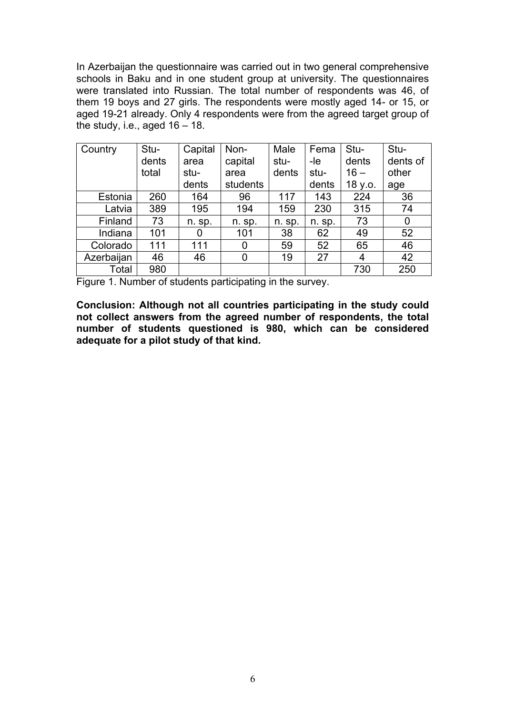In Azerbaijan the questionnaire was carried out in two general comprehensive schools in Baku and in one student group at university. The questionnaires were translated into Russian. The total number of respondents was 46, of them 19 boys and 27 girls. The respondents were mostly aged 14- or 15, or aged 19-21 already. Only 4 respondents were from the agreed target group of the study, i.e., aged  $16 - 18$ .

| Country    | Stu-  | Capital | Non-     | Male   | Fema   | Stu-    | Stu-     |
|------------|-------|---------|----------|--------|--------|---------|----------|
|            | dents | area    | capital  | stu-   | -le    | dents   | dents of |
|            | total | stu-    | area     | dents  | stu-   | $16 -$  | other    |
|            |       | dents   | students |        | dents  | 18 y.o. | age      |
| Estonia    | 260   | 164     | 96       | 117    | 143    | 224     | 36       |
| Latvia     | 389   | 195     | 194      | 159    | 230    | 315     | 74       |
| Finland    | 73    | n. sp.  | n. sp.   | n. sp. | n. sp. | 73      | 0        |
| Indiana    | 101   | 0       | 101      | 38     | 62     | 49      | 52       |
| Colorado   | 111   | 111     | 0        | 59     | 52     | 65      | 46       |
| Azerbaijan | 46    | 46      | 0        | 19     | 27     | 4       | 42       |
| Total      | 980   |         |          |        |        | 730     | 250      |

Figure 1. Number of students participating in the survey.

**Conclusion: Although not all countries participating in the study could not collect answers from the agreed number of respondents, the total number of students questioned is 980, which can be considered adequate for a pilot study of that kind.**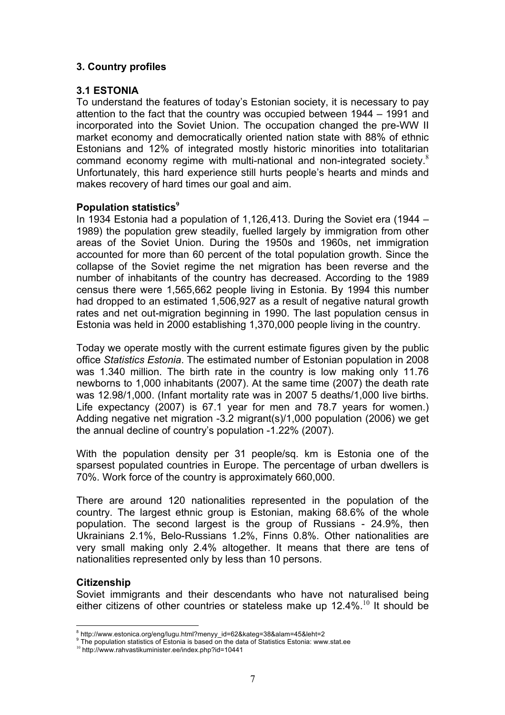# **3. Country profiles**

# **3.1 ESTONIA**

To understand the features of today's Estonian society, it is necessary to pay attention to the fact that the country was occupied between 1944 – 1991 and incorporated into the Soviet Union. The occupation changed the pre-WW II market economy and democratically oriented nation state with 88% of ethnic Estonians and 12% of integrated mostly historic minorities into totalitarian command economy regime with multi-national and non-integrated society.<sup>8</sup> Unfortunately, this hard experience still hurts people's hearts and minds and makes recovery of hard times our goal and aim.

# **Population statistics<sup>9</sup>**

In 1934 Estonia had a population of 1,126,413. During the Soviet era (1944 – 1989) the population grew steadily, fuelled largely by immigration from other areas of the Soviet Union. During the 1950s and 1960s, net immigration accounted for more than 60 percent of the total population growth. Since the collapse of the Soviet regime the net migration has been reverse and the number of inhabitants of the country has decreased. According to the 1989 census there were 1,565,662 people living in Estonia. By 1994 this number had dropped to an estimated 1,506,927 as a result of negative natural growth rates and net out-migration beginning in 1990. The last population census in Estonia was held in 2000 establishing 1,370,000 people living in the country.

Today we operate mostly with the current estimate figures given by the public office *Statistics Estonia*. The estimated number of Estonian population in 2008 was 1.340 million. The birth rate in the country is low making only 11.76 newborns to 1,000 inhabitants (2007). At the same time (2007) the death rate was 12.98/1,000. (Infant mortality rate was in 2007 5 deaths/1,000 live births. Life expectancy (2007) is 67.1 year for men and 78.7 years for women.) Adding negative net migration -3.2 migrant(s)/1,000 population (2006) we get the annual decline of country's population -1.22% (2007).

With the population density per 31 people/sq. km is Estonia one of the sparsest populated countries in Europe. The percentage of urban dwellers is 70%. Work force of the country is approximately 660,000.

There are around 120 nationalities represented in the population of the country. The largest ethnic group is Estonian, making 68.6% of the whole population. The second largest is the group of Russians - 24.9%, then Ukrainians 2.1%, Belo-Russians 1.2%, Finns 0.8%. Other nationalities are very small making only 2.4% altogether. It means that there are tens of nationalities represented only by less than 10 persons.

# **Citizenship**

 $\overline{a}$ 

Soviet immigrants and their descendants who have not naturalised being either citizens of other countries or stateless make up  $12.4\%$ .<sup>10</sup> It should be

<sup>&</sup>lt;sup>8</sup> http://www.estonica.org/eng/lugu.html?menyy\_id=62&kateg=38&alam=45&leht=2<br><sup>9</sup> The negulation statistics of Estonia is based an the data of Statistics Estonia unus

The population statistics of Estonia is based on the data of Statistics Estonia: www.stat.ee

<sup>10</sup> http://www.rahvastikuminister.ee/index.php?id=10441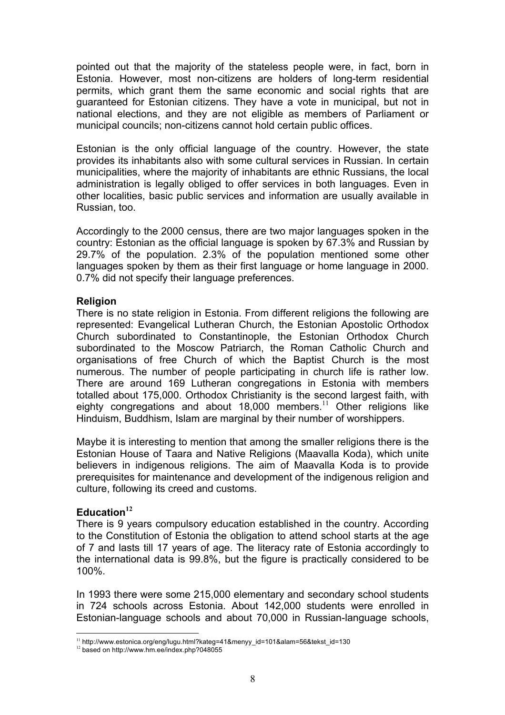pointed out that the majority of the stateless people were, in fact, born in Estonia. However, most non-citizens are holders of long-term residential permits, which grant them the same economic and social rights that are guaranteed for Estonian citizens. They have a vote in municipal, but not in national elections, and they are not eligible as members of Parliament or municipal councils; non-citizens cannot hold certain public offices.

Estonian is the only official language of the country. However, the state provides its inhabitants also with some cultural services in Russian. In certain municipalities, where the majority of inhabitants are ethnic Russians, the local administration is legally obliged to offer services in both languages. Even in other localities, basic public services and information are usually available in Russian, too.

Accordingly to the 2000 census, there are two major languages spoken in the country: Estonian as the official language is spoken by 67.3% and Russian by 29.7% of the population. 2.3% of the population mentioned some other languages spoken by them as their first language or home language in 2000. 0.7% did not specify their language preferences.

#### **Religion**

There is no state religion in Estonia. From different religions the following are represented: Evangelical Lutheran Church, the Estonian Apostolic Orthodox Church subordinated to Constantinople, the Estonian Orthodox Church subordinated to the Moscow Patriarch, the Roman Catholic Church and organisations of free Church of which the Baptist Church is the most numerous. The number of people participating in church life is rather low. There are around 169 Lutheran congregations in Estonia with members totalled about 175,000. Orthodox Christianity is the second largest faith, with eighty congregations and about 18,000 members.<sup>11</sup> Other religions like Hinduism, Buddhism, Islam are marginal by their number of worshippers.

Maybe it is interesting to mention that among the smaller religions there is the Estonian House of Taara and Native Religions (Maavalla Koda), which unite believers in indigenous religions. The aim of Maavalla Koda is to provide prerequisites for maintenance and development of the indigenous religion and culture, following its creed and customs.

# **Education<sup>12</sup>**

There is 9 years compulsory education established in the country. According to the Constitution of Estonia the obligation to attend school starts at the age of 7 and lasts till 17 years of age. The literacy rate of Estonia accordingly to the international data is 99.8%, but the figure is practically considered to be 100%.

In 1993 there were some 215,000 elementary and secondary school students in 724 schools across Estonia. About 142,000 students were enrolled in Estonian-language schools and about 70,000 in Russian-language schools,

 <sup>11</sup> http://www.estonica.org/eng/lugu.html?kateg=41&menyy\_id=101&alam=56&tekst\_id=130

<sup>12</sup> based on http://www.hm.ee/index.php?048055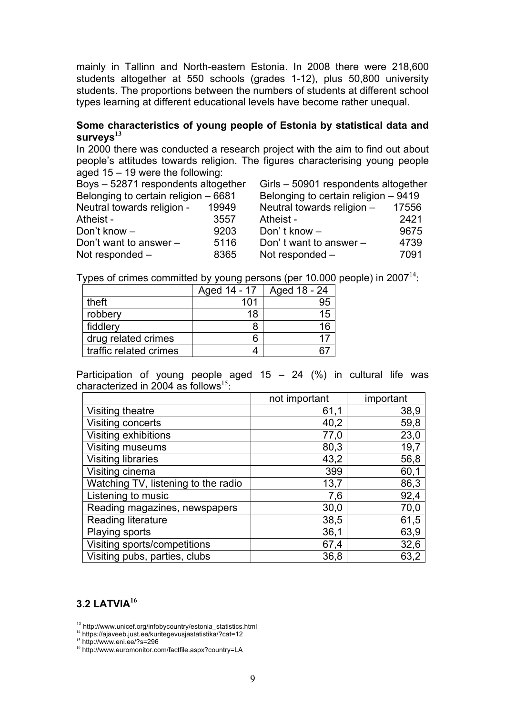mainly in Tallinn and North-eastern Estonia. In 2008 there were 218,600 students altogether at 550 schools (grades 1-12), plus 50,800 university students. The proportions between the numbers of students at different school types learning at different educational levels have become rather unequal.

# **Some characteristics of young people of Estonia by statistical data and surveys<sup>13</sup>**

In 2000 there was conducted a research project with the aim to find out about people's attitudes towards religion. The figures characterising young people aged 15 – 19 were the following:

| Boys - 52871 respondents altogether  |       | Girls – 50901 respondents altogether |       |
|--------------------------------------|-------|--------------------------------------|-------|
| Belonging to certain religion - 6681 |       | Belonging to certain religion - 9419 |       |
| Neutral towards religion -           | 19949 | Neutral towards religion -           | 17556 |
| Atheist -                            | 3557  | Atheist -                            | 2421  |
| Don't know -                         | 9203  | Don't know $-$                       | 9675  |
| Don't want to answer $-$             | 5116  | Don't want to answer -               | 4739  |
| Not responded -                      | 8365  | Not responded -                      | 7091  |
|                                      |       |                                      |       |

Types of crimes committed by young persons (per 10.000 people) in  $2007<sup>14</sup>$ .

|                        | Aged 14 - 17 | Aged 18 - 24 |
|------------------------|--------------|--------------|
| theft                  | 101          | 95           |
| robbery                | 18           | 15           |
| fiddlery               | 8            | 16           |
| drug related crimes    | 6            |              |
| traffic related crimes |              |              |

Participation of young people aged  $15 - 24$  (%) in cultural life was characterized in 2004 as follows<sup>15.</sup>

|                                     | not important | important |
|-------------------------------------|---------------|-----------|
| Visiting theatre                    | 61,1          | 38,9      |
| Visiting concerts                   | 40,2          | 59,8      |
| Visiting exhibitions                | 77,0          | 23,0      |
| Visiting museums                    | 80,3          | 19,7      |
| <b>Visiting libraries</b>           | 43,2          | 56,8      |
| Visiting cinema                     | 399           | 60,1      |
| Watching TV, listening to the radio | 13,7          | 86,3      |
| Listening to music                  | 7,6           | 92,4      |
| Reading magazines, newspapers       | 30,0          | 70,0      |
| <b>Reading literature</b>           | 38,5          | 61,5      |
| Playing sports                      | 36,1          | 63,9      |
| Visiting sports/competitions        | 67,4          | 32,6      |
| Visiting pubs, parties, clubs       | 36,8          | 63,2      |

# **3.2 LATVIA<sup>16</sup>**

<sup>15</sup> http://www.eni.ee/?s=296

13 http://www.unicef.org/infobycountry/estonia\_statistics.html

<sup>14</sup> https://ajaveeb.just.ee/kuritegevusjastatistika/?cat=12

<sup>16</sup> http://www.euromonitor.com/factfile.aspx?country=LA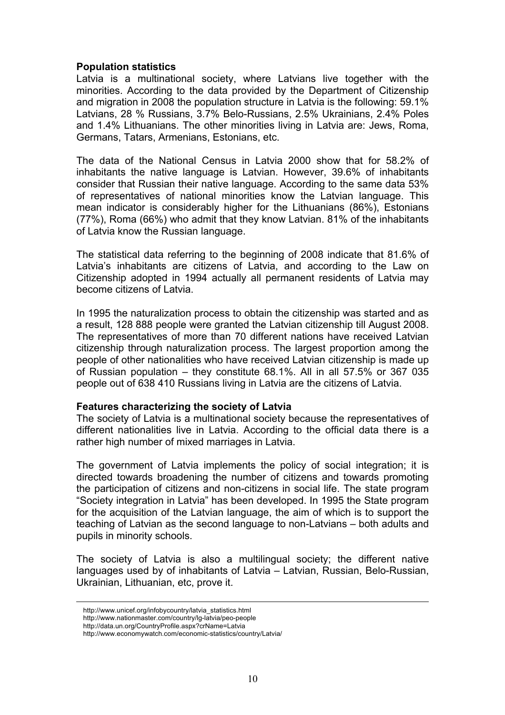#### **Population statistics**

Latvia is a multinational society, where Latvians live together with the minorities. According to the data provided by the Department of Citizenship and migration in 2008 the population structure in Latvia is the following: 59.1% Latvians, 28 % Russians, 3.7% Belo-Russians, 2.5% Ukrainians, 2.4% Poles and 1.4% Lithuanians. The other minorities living in Latvia are: Jews, Roma, Germans, Tatars, Armenians, Estonians, etc.

The data of the National Census in Latvia 2000 show that for 58.2% of inhabitants the native language is Latvian. However, 39.6% of inhabitants consider that Russian their native language. According to the same data 53% of representatives of national minorities know the Latvian language. This mean indicator is considerably higher for the Lithuanians (86%), Estonians (77%), Roma (66%) who admit that they know Latvian. 81% of the inhabitants of Latvia know the Russian language.

The statistical data referring to the beginning of 2008 indicate that 81.6% of Latvia's inhabitants are citizens of Latvia, and according to the Law on Citizenship adopted in 1994 actually all permanent residents of Latvia may become citizens of Latvia.

In 1995 the naturalization process to obtain the citizenship was started and as a result, 128 888 people were granted the Latvian citizenship till August 2008. The representatives of more than 70 different nations have received Latvian citizenship through naturalization process. The largest proportion among the people of other nationalities who have received Latvian citizenship is made up of Russian population – they constitute 68.1%. All in all 57.5% or 367 035 people out of 638 410 Russians living in Latvia are the citizens of Latvia.

#### **Features characterizing the society of Latvia**

The society of Latvia is a multinational society because the representatives of different nationalities live in Latvia. According to the official data there is a rather high number of mixed marriages in Latvia.

The government of Latvia implements the policy of social integration; it is directed towards broadening the number of citizens and towards promoting the participation of citizens and non-citizens in social life. The state program "Society integration in Latvia" has been developed. In 1995 the State program for the acquisition of the Latvian language, the aim of which is to support the teaching of Latvian as the second language to non-Latvians – both adults and pupils in minority schools.

The society of Latvia is also a multilingual society; the different native languages used by of inhabitants of Latvia – Latvian, Russian, Belo-Russian, Ukrainian, Lithuanian, etc, prove it.

 $\overline{a}$ 

http://www.unicef.org/infobycountry/latvia\_statistics.html

http://www.nationmaster.com/country/lg-latvia/peo-people

http://data.un.org/CountryProfile.aspx?crName=Latvia

http://www.economywatch.com/economic-statistics/country/Latvia/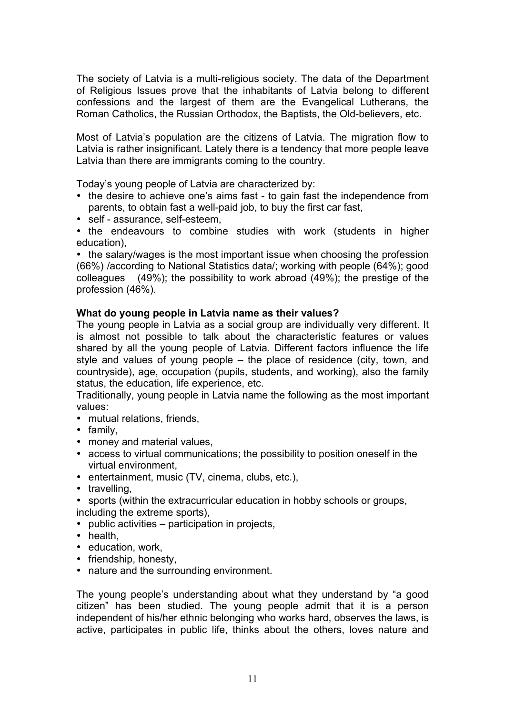The society of Latvia is a multi-religious society. The data of the Department of Religious Issues prove that the inhabitants of Latvia belong to different confessions and the largest of them are the Evangelical Lutherans, the Roman Catholics, the Russian Orthodox, the Baptists, the Old-believers, etc.

Most of Latvia's population are the citizens of Latvia. The migration flow to Latvia is rather insignificant. Lately there is a tendency that more people leave Latvia than there are immigrants coming to the country.

Today's young people of Latvia are characterized by:

- the desire to achieve one's aims fast to gain fast the independence from parents, to obtain fast a well-paid job, to buy the first car fast,
- self assurance, self-esteem,

• the endeavours to combine studies with work (students in higher education),

• the salary/wages is the most important issue when choosing the profession (66%) /according to National Statistics data/; working with people (64%); good colleagues (49%); the possibility to work abroad (49%); the prestige of the profession (46%).

# **What do young people in Latvia name as their values?**

The young people in Latvia as a social group are individually very different. It is almost not possible to talk about the characteristic features or values shared by all the young people of Latvia. Different factors influence the life style and values of young people – the place of residence (city, town, and countryside), age, occupation (pupils, students, and working), also the family status, the education, life experience, etc.

Traditionally, young people in Latvia name the following as the most important values:

- mutual relations, friends,
- family,
- money and material values,
- access to virtual communications; the possibility to position oneself in the virtual environment,
- entertainment, music (TV, cinema, clubs, etc.),
- travelling,

• sports (within the extracurricular education in hobby schools or groups, including the extreme sports),

- public activities participation in projects,
- health
- education, work,
- friendship, honesty,
- nature and the surrounding environment.

The young people's understanding about what they understand by "a good citizen" has been studied. The young people admit that it is a person independent of his/her ethnic belonging who works hard, observes the laws, is active, participates in public life, thinks about the others, loves nature and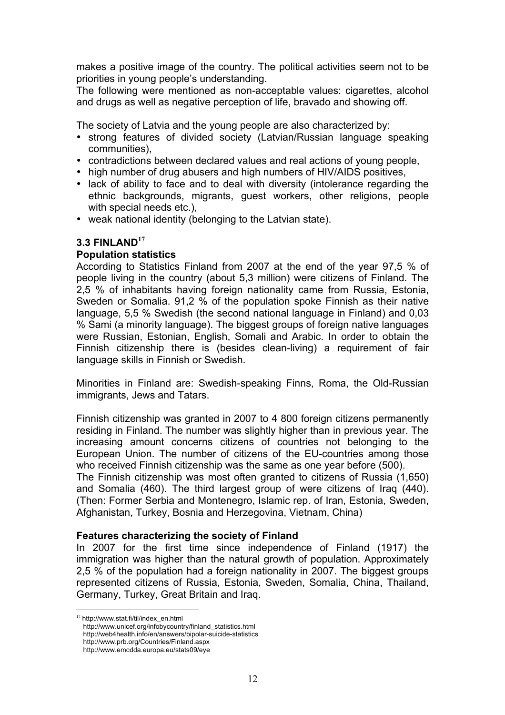makes a positive image of the country. The political activities seem not to be priorities in young people's understanding.

The following were mentioned as non-acceptable values: cigarettes, alcohol and drugs as well as negative perception of life, bravado and showing off.

The society of Latvia and the young people are also characterized by:

- strong features of divided society (Latvian/Russian language speaking communities),
- contradictions between declared values and real actions of young people,
- high number of drug abusers and high numbers of HIV/AIDS positives,
- lack of ability to face and to deal with diversity (intolerance regarding the ethnic backgrounds, migrants, guest workers, other religions, people with special needs etc.),
- weak national identity (belonging to the Latvian state).

#### **3.3 FINLAND<sup>17</sup>**

#### **Population statistics**

According to Statistics Finland from 2007 at the end of the year 97,5 % of people living in the country (about 5,3 million) were citizens of Finland. The 2,5 % of inhabitants having foreign nationality came from Russia, Estonia, Sweden or Somalia. 91,2 % of the population spoke Finnish as their native language, 5,5 % Swedish (the second national language in Finland) and 0,03 % Sami (a minority language). The biggest groups of foreign native languages were Russian, Estonian, English, Somali and Arabic. In order to obtain the Finnish citizenship there is (besides clean-living) a requirement of fair language skills in Finnish or Swedish.

Minorities in Finland are: Swedish-speaking Finns, Roma, the Old-Russian immigrants, Jews and Tatars.

Finnish citizenship was granted in 2007 to 4 800 foreign citizens permanently residing in Finland. The number was slightly higher than in previous year. The increasing amount concerns citizens of countries not belonging to the European Union. The number of citizens of the EU-countries among those who received Finnish citizenship was the same as one year before (500).

The Finnish citizenship was most often granted to citizens of Russia (1,650) and Somalia (460). The third largest group of were citizens of Iraq (440). (Then: Former Serbia and Montenegro, Islamic rep. of Iran, Estonia, Sweden, Afghanistan, Turkey, Bosnia and Herzegovina, Vietnam, China)

#### **Features characterizing the society of Finland**

In 2007 for the first time since independence of Finland (1917) the immigration was higher than the natural growth of population. Approximately 2,5 % of the population had a foreign nationality in 2007. The biggest groups represented citizens of Russia, Estonia, Sweden, Somalia, China, Thailand, Germany, Turkey, Great Britain and Iraq.

 <sup>17</sup> http://www.stat.fi/til/index\_en.html

http://www.unicef.org/infobycountry/finland\_statistics.html

http://web4health.info/en/answers/bipolar-suicide-statistics

http://www.prb.org/Countries/Finland.aspx http://www.emcdda.europa.eu/stats09/eye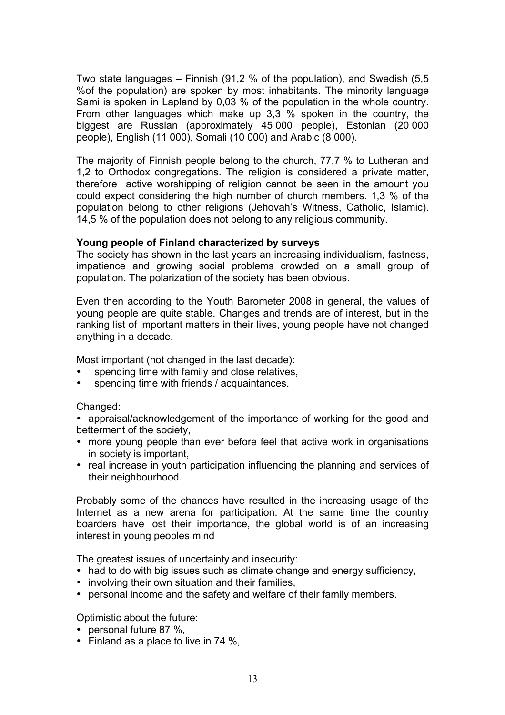Two state languages – Finnish (91,2 % of the population), and Swedish (5,5 %of the population) are spoken by most inhabitants. The minority language Sami is spoken in Lapland by 0,03 % of the population in the whole country. From other languages which make up 3,3 % spoken in the country, the biggest are Russian (approximately 45 000 people), Estonian (20 000 people), English (11 000), Somali (10 000) and Arabic (8 000).

The majority of Finnish people belong to the church, 77,7 % to Lutheran and 1,2 to Orthodox congregations. The religion is considered a private matter, therefore active worshipping of religion cannot be seen in the amount you could expect considering the high number of church members. 1,3 % of the population belong to other religions (Jehovah's Witness, Catholic, Islamic). 14,5 % of the population does not belong to any religious community.

# **Young people of Finland characterized by surveys**

The society has shown in the last years an increasing individualism, fastness, impatience and growing social problems crowded on a small group of population. The polarization of the society has been obvious.

Even then according to the Youth Barometer 2008 in general, the values of young people are quite stable. Changes and trends are of interest, but in the ranking list of important matters in their lives, young people have not changed anything in a decade.

Most important (not changed in the last decade):

- spending time with family and close relatives,
- spending time with friends / acquaintances.

#### Changed:

• appraisal/acknowledgement of the importance of working for the good and betterment of the society,

- more young people than ever before feel that active work in organisations in society is important,
- real increase in youth participation influencing the planning and services of their neighbourhood.

Probably some of the chances have resulted in the increasing usage of the Internet as a new arena for participation. At the same time the country boarders have lost their importance, the global world is of an increasing interest in young peoples mind

The greatest issues of uncertainty and insecurity:

- had to do with big issues such as climate change and energy sufficiency,
- involving their own situation and their families,
- personal income and the safety and welfare of their family members.

Optimistic about the future:

- personal future 87 %,
- Finland as a place to live in 74 %,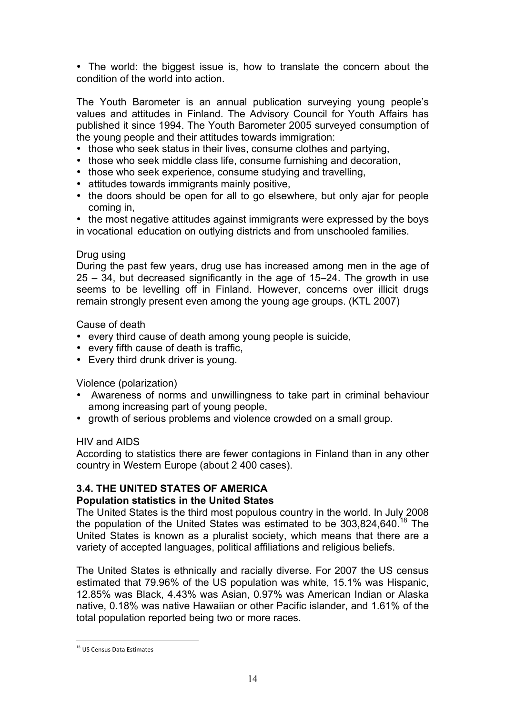• The world: the biggest issue is, how to translate the concern about the condition of the world into action.

The Youth Barometer is an annual publication surveying young people's values and attitudes in Finland. The Advisory Council for Youth Affairs has published it since 1994. The Youth Barometer 2005 surveyed consumption of the young people and their attitudes towards immigration:

- those who seek status in their lives, consume clothes and partying,
- those who seek middle class life, consume furnishing and decoration,
- those who seek experience, consume studying and travelling,
- attitudes towards immigrants mainly positive,
- the doors should be open for all to go elsewhere, but only ajar for people coming in,

• the most negative attitudes against immigrants were expressed by the boys in vocational education on outlying districts and from unschooled families.

# Drug using

During the past few years, drug use has increased among men in the age of 25 – 34, but decreased significantly in the age of 15–24. The growth in use seems to be levelling off in Finland. However, concerns over illicit drugs remain strongly present even among the young age groups. (KTL 2007)

Cause of death

- every third cause of death among young people is suicide,
- every fifth cause of death is traffic,
- Every third drunk driver is young.

Violence (polarization)

- Awareness of norms and unwillingness to take part in criminal behaviour among increasing part of young people,
- growth of serious problems and violence crowded on a small group.

#### HIV and AIDS

According to statistics there are fewer contagions in Finland than in any other country in Western Europe (about 2 400 cases).

# **3.4. THE UNITED STATES OF AMERICA**

# **Population statistics in the United States**

The United States is the third most populous country in the world. In July 2008 the population of the United States was estimated to be  $303,824,640$ .<sup>18</sup> The United States is known as a pluralist society, which means that there are a variety of accepted languages, political affiliations and religious beliefs.

The United States is ethnically and racially diverse. For 2007 the US census estimated that 79.96% of the US population was white, 15.1% was Hispanic, 12.85% was Black, 4.43% was Asian, 0.97% was American Indian or Alaska native, 0.18% was native Hawaiian or other Pacific islander, and 1.61% of the total population reported being two or more races.

<sup>&</sup>lt;sup>18</sup> US Census Data Estimates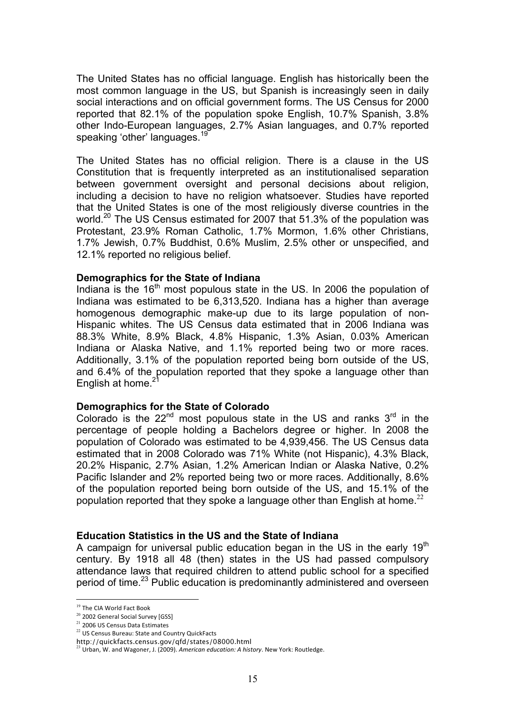The United States has no official language. English has historically been the most common language in the US, but Spanish is increasingly seen in daily social interactions and on official government forms. The US Census for 2000 reported that 82.1% of the population spoke English, 10.7% Spanish, 3.8% other Indo-European languages, 2.7% Asian languages, and 0.7% reported speaking 'other' languages.<sup>19</sup>

The United States has no official religion. There is a clause in the US Constitution that is frequently interpreted as an institutionalised separation between government oversight and personal decisions about religion, including a decision to have no religion whatsoever. Studies have reported that the United States is one of the most religiously diverse countries in the world.<sup>20</sup> The US Census estimated for 2007 that 51.3% of the population was Protestant, 23.9% Roman Catholic, 1.7% Mormon, 1.6% other Christians, 1.7% Jewish, 0.7% Buddhist, 0.6% Muslim, 2.5% other or unspecified, and 12.1% reported no religious belief.

#### **Demographics for the State of Indiana**

Indiana is the  $16<sup>th</sup>$  most populous state in the US. In 2006 the population of Indiana was estimated to be 6,313,520. Indiana has a higher than average homogenous demographic make-up due to its large population of non-Hispanic whites. The US Census data estimated that in 2006 Indiana was 88.3% White, 8.9% Black, 4.8% Hispanic, 1.3% Asian, 0.03% American Indiana or Alaska Native, and 1.1% reported being two or more races. Additionally, 3.1% of the population reported being born outside of the US, and 6.4% of the population reported that they spoke a language other than English at home. $21$ 

#### **Demographics for the State of Colorado**

Colorado is the  $22^{nd}$  most populous state in the US and ranks  $3^{rd}$  in the percentage of people holding a Bachelors degree or higher. In 2008 the population of Colorado was estimated to be 4,939,456. The US Census data estimated that in 2008 Colorado was 71% White (not Hispanic), 4.3% Black, 20.2% Hispanic, 2.7% Asian, 1.2% American Indian or Alaska Native, 0.2% Pacific Islander and 2% reported being two or more races. Additionally, 8.6% of the population reported being born outside of the US, and 15.1% of the population reported that they spoke a language other than English at home.<sup>22</sup>

#### **Education Statistics in the US and the State of Indiana**

A campaign for universal public education began in the US in the early  $19<sup>th</sup>$ century. By 1918 all 48 (then) states in the US had passed compulsory attendance laws that required children to attend public school for a specified period of time.23 Public education is predominantly administered and overseen

<sup>&</sup>lt;sup>19</sup> The CIA World Fact Book

<sup>&</sup>lt;sup>20</sup> 2002 General Social Survey [GSS]

<sup>21</sup>2006
US
Census
Data
Estimates

<sup>22</sup> US Census Bureau: State and Country QuickFacts

http://quickfacts.census.gov/qfd/states/08000.html

<sup>&</sup>lt;sup>23</sup> Urban, W. and Wagoner, J. (2009). American education: A history. New York: Routledge.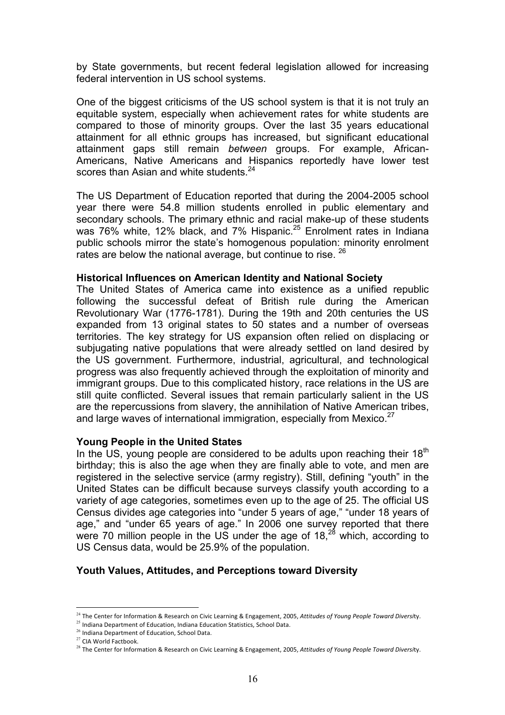by State governments, but recent federal legislation allowed for increasing federal intervention in US school systems.

One of the biggest criticisms of the US school system is that it is not truly an equitable system, especially when achievement rates for white students are compared to those of minority groups. Over the last 35 years educational attainment for all ethnic groups has increased, but significant educational attainment gaps still remain *between* groups. For example, African-Americans, Native Americans and Hispanics reportedly have lower test scores than Asian and white students.<sup>24</sup>

The US Department of Education reported that during the 2004-2005 school year there were 54.8 million students enrolled in public elementary and secondary schools. The primary ethnic and racial make-up of these students was 76% white, 12% black, and 7% Hispanic.<sup>25</sup> Enrolment rates in Indiana public schools mirror the state's homogenous population: minority enrolment rates are below the national average, but continue to rise. <sup>26</sup>

#### **Historical Influences on American Identity and National Society**

The United States of America came into existence as a unified republic following the successful defeat of British rule during the American Revolutionary War (1776-1781). During the 19th and 20th centuries the US expanded from 13 original states to 50 states and a number of overseas territories. The key strategy for US expansion often relied on displacing or subjugating native populations that were already settled on land desired by the US government. Furthermore, industrial, agricultural, and technological progress was also frequently achieved through the exploitation of minority and immigrant groups. Due to this complicated history, race relations in the US are still quite conflicted. Several issues that remain particularly salient in the US are the repercussions from slavery, the annihilation of Native American tribes, and large waves of international immigration, especially from Mexico.<sup>27</sup>

#### **Young People in the United States**

In the US, young people are considered to be adults upon reaching their  $18<sup>th</sup>$ birthday; this is also the age when they are finally able to vote, and men are registered in the selective service (army registry). Still, defining "youth" in the United States can be difficult because surveys classify youth according to a variety of age categories, sometimes even up to the age of 25. The official US Census divides age categories into "under 5 years of age," "under 18 years of age," and "under 65 years of age." In 2006 one survey reported that there were 70 million people in the US under the age of  $18<sup>28</sup>$  which, according to US Census data, would be 25.9% of the population.

# **Youth Values, Attitudes, and Perceptions toward Diversity**

<sup>&</sup>lt;sup>24</sup> The Center for Information & Research on Civic Learning & Engagement, 2005, Attitudes of Young People Toward Diversity.

<sup>&</sup>lt;sup>25</sup> Indiana Department of Education, Indiana Education Statistics, School Data.

<sup>26</sup>Indiana
Department
of
Education,
School
Data.

<sup>27</sup>CIA
World
Factbook.

<sup>&</sup>lt;sup>28</sup> The Center for Information & Research on Civic Learning & Engagement, 2005, Attitudes of Young People Toward Diversity.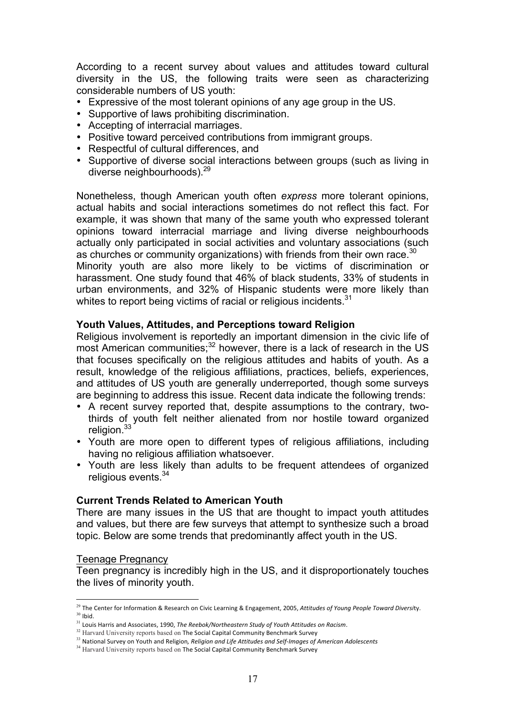According to a recent survey about values and attitudes toward cultural diversity in the US, the following traits were seen as characterizing considerable numbers of US youth:

- Expressive of the most tolerant opinions of any age group in the US.
- Supportive of laws prohibiting discrimination.
- Accepting of interracial marriages.
- Positive toward perceived contributions from immigrant groups.
- Respectful of cultural differences, and
- Supportive of diverse social interactions between groups (such as living in diverse neighbourhoods).29

Nonetheless, though American youth often *express* more tolerant opinions, actual habits and social interactions sometimes do not reflect this fact. For example, it was shown that many of the same youth who expressed tolerant opinions toward interracial marriage and living diverse neighbourhoods actually only participated in social activities and voluntary associations (such as churches or community organizations) with friends from their own race.  $30$ Minority youth are also more likely to be victims of discrimination or harassment. One study found that 46% of black students, 33% of students in urban environments, and 32% of Hispanic students were more likely than

#### **Youth Values, Attitudes, and Perceptions toward Religion**

whites to report being victims of racial or religious incidents.<sup>31</sup>

Religious involvement is reportedly an important dimension in the civic life of most American communities;<sup>32</sup> however, there is a lack of research in the US that focuses specifically on the religious attitudes and habits of youth. As a result, knowledge of the religious affiliations, practices, beliefs, experiences, and attitudes of US youth are generally underreported, though some surveys are beginning to address this issue. Recent data indicate the following trends:

- A recent survey reported that, despite assumptions to the contrary, twothirds of youth felt neither alienated from nor hostile toward organized religion.<sup>33</sup>
- Youth are more open to different types of religious affiliations, including having no religious affiliation whatsoever.
- Youth are less likely than adults to be frequent attendees of organized religious events.<sup>34</sup>

#### **Current Trends Related to American Youth**

There are many issues in the US that are thought to impact youth attitudes and values, but there are few surveys that attempt to synthesize such a broad topic. Below are some trends that predominantly affect youth in the US.

#### Teenage Pregnancy

Teen pregnancy is incredibly high in the US, and it disproportionately touches the lives of minority youth.

<sup>&</sup>lt;sup>29</sup> The Center for Information & Research on Civic Learning & Engagement, 2005, Attitudes of Young People Toward Diversity.  $30$  Ibid.

<sup>&</sup>lt;sup>31</sup> Louis Harris and Associates, 1990, The Reebok/Northeastern Study of Youth Attitudes on Racism.

<sup>&</sup>lt;sup>32</sup> Harvard University reports based on The Social Capital Community Benchmark Survey

<sup>&</sup>lt;sup>33</sup> National Survey on Youth and Religion, Religion and Life Attitudes and Self-Images of American Adolescents

<sup>&</sup>lt;sup>34</sup> Harvard University reports based on The Social Capital Community Benchmark Survey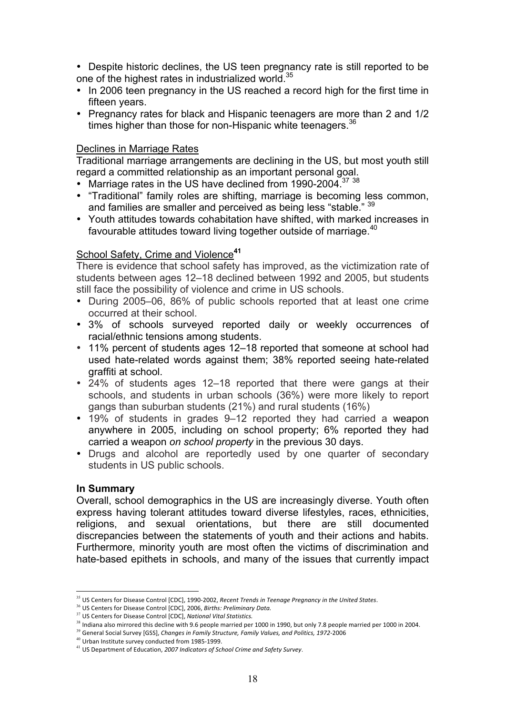• Despite historic declines, the US teen pregnancy rate is still reported to be one of the highest rates in industrialized world.<sup>35</sup>

- In 2006 teen pregnancy in the US reached a record high for the first time in fifteen years.
- Pregnancy rates for black and Hispanic teenagers are more than 2 and 1/2 times higher than those for non-Hispanic white teenagers.<sup>36</sup>

# Declines in Marriage Rates

Traditional marriage arrangements are declining in the US, but most youth still regard a committed relationship as an important personal goal.

- Marriage rates in the US have declined from 1990-2004.<sup>37</sup> <sup>38</sup>
- "Traditional" family roles are shifting, marriage is becoming less common, and families are smaller and perceived as being less "stable." <sup>39</sup>
- Youth attitudes towards cohabitation have shifted, with marked increases in favourable attitudes toward living together outside of marriage.<sup>40</sup>

# School Safety, Crime and Violence**<sup>41</sup>**

There is evidence that school safety has improved, as the victimization rate of students between ages 12–18 declined between 1992 and 2005, but students still face the possibility of violence and crime in US schools.

- During 2005–06, 86% of public schools reported that at least one crime occurred at their school.
- 3% of schools surveyed reported daily or weekly occurrences of racial/ethnic tensions among students.
- 11% percent of students ages 12–18 reported that someone at school had used hate-related words against them; 38% reported seeing hate-related graffiti at school.
- 24% of students ages 12–18 reported that there were gangs at their schools, and students in urban schools (36%) were more likely to report gangs than suburban students (21%) and rural students (16%)
- 19% of students in grades 9–12 reported they had carried a weapon anywhere in 2005, including on school property; 6% reported they had carried a weapon *on school property* in the previous 30 days.
- Drugs and alcohol are reportedly used by one quarter of secondary students in US public schools.

# **In Summary**

Overall, school demographics in the US are increasingly diverse. Youth often express having tolerant attitudes toward diverse lifestyles, races, ethnicities, religions, and sexual orientations, but there are still documented discrepancies between the statements of youth and their actions and habits. Furthermore, minority youth are most often the victims of discrimination and hate-based epithets in schools, and many of the issues that currently impact

<sup>&</sup>lt;sup>35</sup> US Centers for Disease Control [CDC], 1990-2002, Recent Trends in Teenage Pregnancy in the United States.

<sup>&</sup>lt;sup>36</sup> US Centers for Disease Control [CDC], 2006, Births: Preliminary Data.

<sup>&</sup>lt;sup>37</sup> US Centers for Disease Control [CDC], National Vital Statistics.

<sup>&</sup>lt;sup>38</sup> Indiana also mirrored this decline with 9.6 people married per 1000 in 1990, but only 7.8 people married per 1000 in 2004.

<sup>&</sup>lt;sup>39</sup> General Social Survey [GSS], Changes in Family Structure, Family Values, and Politics, 1972-2006

<sup>40</sup>Urban
Institute
survey
conducted
from
1985‐1999.

<sup>&</sup>lt;sup>41</sup> US Department of Education, 2007 Indicators of School Crime and Safety Survey.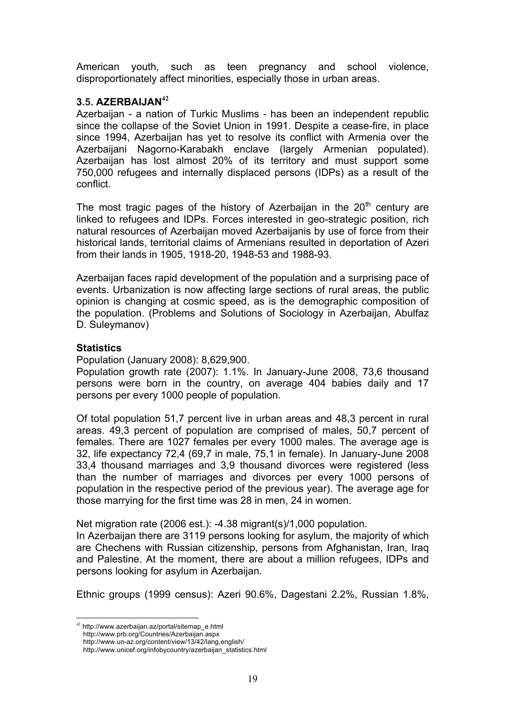American youth, such as teen pregnancy and school violence, disproportionately affect minorities, especially those in urban areas.

# **3.5. AZERBAIJAN<sup>42</sup>**

Azerbaijan - a nation of Turkic Muslims - has been an independent republic since the collapse of the Soviet Union in 1991. Despite a cease-fire, in place since 1994, Azerbaijan has yet to resolve its conflict with Armenia over the Azerbaijani Nagorno-Karabakh enclave (largely Armenian populated). Azerbaijan has lost almost 20% of its territory and must support some 750,000 refugees and internally displaced persons (IDPs) as a result of the conflict.

The most tragic pages of the history of Azerbaijan in the  $20<sup>th</sup>$  century are linked to refugees and IDPs. Forces interested in geo-strategic position, rich natural resources of Azerbaijan moved Azerbaijanis by use of force from their historical lands, territorial claims of Armenians resulted in deportation of Azeri from their lands in 1905, 1918-20, 1948-53 and 1988-93.

Azerbaijan faces rapid development of the population and a surprising pace of events. Urbanization is now affecting large sections of rural areas, the public opinion is changing at cosmic speed, as is the demographic composition of the population. (Problems and Solutions of Sociology in Azerbaijan, Abulfaz D. Suleymanov)

# **Statistics**

Population (January 2008): 8,629,900.

Population growth rate (2007): 1.1%. In January-June 2008, 73,6 thousand persons were born in the country, on average 404 babies daily and 17 persons per every 1000 people of population.

Of total population 51,7 percent live in urban areas and 48,3 percent in rural areas. 49,3 percent of population are comprised of males, 50,7 percent of females. There are 1027 females per every 1000 males. The average age is 32, life expectancy 72,4 (69,7 in male, 75,1 in female). In January-June 2008 33,4 thousand marriages and 3,9 thousand divorces were registered (less than the number of marriages and divorces per every 1000 persons of population in the respective period of the previous year). The average age for those marrying for the first time was 28 in men, 24 in women.

Net migration rate (2006 est.): -4.38 migrant(s)/1,000 population.

In Azerbaijan there are 3119 persons looking for asylum, the majority of which are Chechens with Russian citizenship, persons from Afghanistan, Iran, Iraq and Palestine. At the moment, there are about a million refugees, IDPs and persons looking for asylum in Azerbaijan.

Ethnic groups (1999 census): Azeri 90.6%, Dagestani 2.2%, Russian 1.8%,

 http://www.prb.org/Countries/Azerbaijan.aspx http://www.un-az.org/content/view/13/42/lang,english/

 <sup>42</sup> http://www.azerbaijan.az/portal/sitemap\_e.html

http://www.unicef.org/infobycountry/azerbaijan\_statistics.html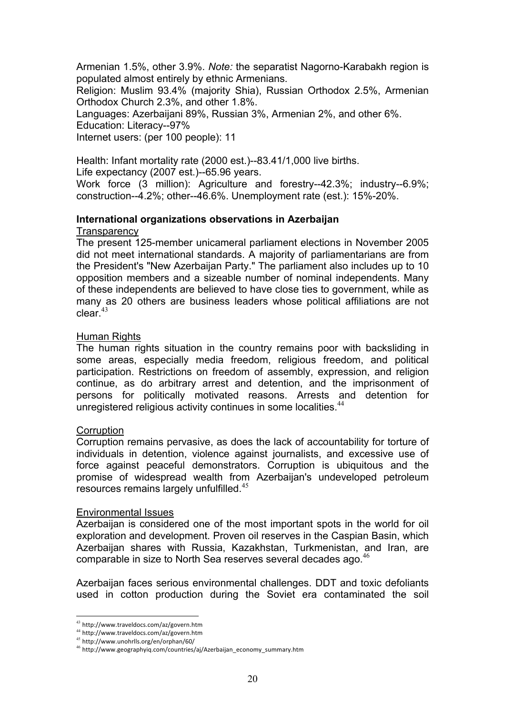Armenian 1.5%, other 3.9%. *Note:* the separatist Nagorno-Karabakh region is populated almost entirely by ethnic Armenians.

Religion: Muslim 93.4% (majority Shia), Russian Orthodox 2.5%, Armenian Orthodox Church 2.3%, and other 1.8%.

Languages: Azerbaijani 89%, Russian 3%, Armenian 2%, and other 6%.

Education: Literacy--97%

Internet users: (per 100 people): 11

Health: Infant mortality rate (2000 est.)--83.41/1,000 live births. Life expectancy (2007 est.)--65.96 years.

Work force (3 million): Agriculture and forestry--42.3%; industry--6.9%; construction--4.2%; other--46.6%. Unemployment rate (est.): 15%-20%.

#### **International organizations observations in Azerbaijan Transparency**

The present 125-member unicameral parliament elections in November 2005 did not meet international standards. A majority of parliamentarians are from the President's "New Azerbaijan Party." The parliament also includes up to 10 opposition members and a sizeable number of nominal independents. Many of these independents are believed to have close ties to government, while as many as 20 others are business leaders whose political affiliations are not  $cl$ ear. $43$ 

# **Human Rights**

The human rights situation in the country remains poor with backsliding in some areas, especially media freedom, religious freedom, and political participation. Restrictions on freedom of assembly, expression, and religion continue, as do arbitrary arrest and detention, and the imprisonment of persons for politically motivated reasons. Arrests and detention for unregistered religious activity continues in some localities.<sup>44</sup>

# **Corruption**

Corruption remains pervasive, as does the lack of accountability for torture of individuals in detention, violence against journalists, and excessive use of force against peaceful demonstrators. Corruption is ubiquitous and the promise of widespread wealth from Azerbaijan's undeveloped petroleum resources remains largely unfulfilled.<sup>45</sup>

#### Environmental Issues

Azerbaijan is considered one of the most important spots in the world for oil exploration and development. Proven oil reserves in the Caspian Basin, which Azerbaijan shares with Russia, Kazakhstan, Turkmenistan, and Iran, are comparable in size to North Sea reserves several decades ago.<sup>46</sup>

Azerbaijan faces serious environmental challenges. DDT and toxic defoliants used in cotton production during the Soviet era contaminated the soil

 <sup>43</sup> http://www.traveldocs.com/az/govern.htm

<sup>44</sup> http://www.traveldocs.com/az/govern.htm

<sup>45</sup> http://www.unohrlls.org/en/orphan/60/

<sup>46</sup> http://www.geographyiq.com/countries/aj/Azerbaijan\_economy\_summary.htm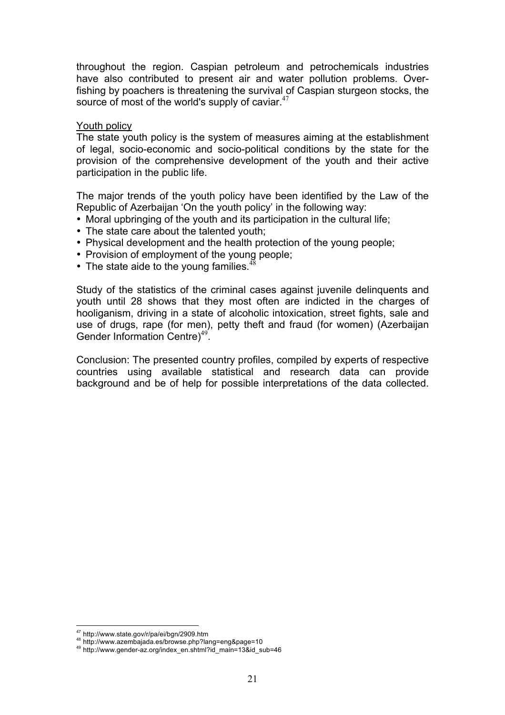throughout the region. Caspian petroleum and petrochemicals industries have also contributed to present air and water pollution problems. Overfishing by poachers is threatening the survival of Caspian sturgeon stocks, the source of most of the world's supply of caviar. $47$ 

#### Youth policy

The state youth policy is the system of measures aiming at the establishment of legal, socio-economic and socio-political conditions by the state for the provision of the comprehensive development of the youth and their active participation in the public life.

The major trends of the youth policy have been identified by the Law of the Republic of Azerbaijan 'On the youth policy' in the following way:

- Moral upbringing of the youth and its participation in the cultural life;
- The state care about the talented youth;
- Physical development and the health protection of the young people;
- Provision of employment of the young people;
- The state aide to the young families. $48$

Study of the statistics of the criminal cases against juvenile delinquents and youth until 28 shows that they most often are indicted in the charges of hooliganism, driving in a state of alcoholic intoxication, street fights, sale and use of drugs, rape (for men), petty theft and fraud (for women) (Azerbaijan Gender Information Centre)<sup>49</sup>.

Conclusion: The presented country profiles, compiled by experts of respective countries using available statistical and research data can provide background and be of help for possible interpretations of the data collected.

 $\overline{a}$ 

<sup>&</sup>lt;sup>47</sup> http://www.state.gov/r/pa/ei/bgn/2909.htm<br><sup>48</sup> http://www.azembajada.es/browse.php?lang=eng&page=10<br><sup>49</sup> http://www.gender-az.org/index\_en.shtml?id\_main=13&id\_sub=46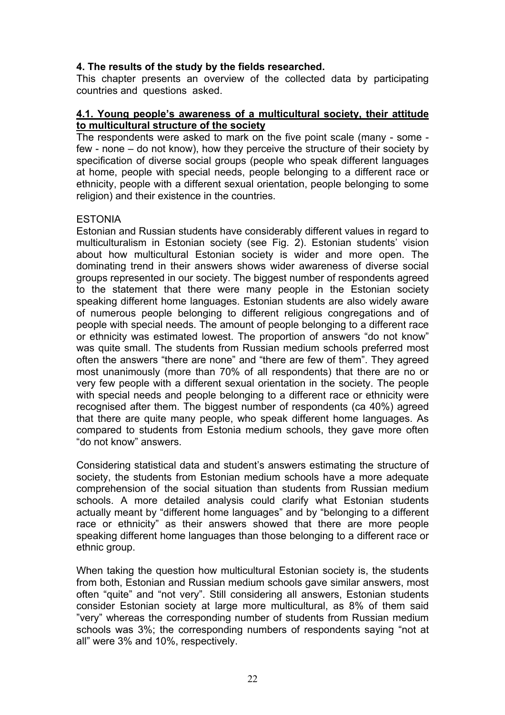# **4. The results of the study by the fields researched.**

This chapter presents an overview of the collected data by participating countries and questions asked.

# **4.1. Young people's awareness of a multicultural society, their attitude to multicultural structure of the society**

The respondents were asked to mark on the five point scale (many - some few - none – do not know), how they perceive the structure of their society by specification of diverse social groups (people who speak different languages at home, people with special needs, people belonging to a different race or ethnicity, people with a different sexual orientation, people belonging to some religion) and their existence in the countries.

# ESTONIA

Estonian and Russian students have considerably different values in regard to multiculturalism in Estonian society (see Fig. 2). Estonian students' vision about how multicultural Estonian society is wider and more open. The dominating trend in their answers shows wider awareness of diverse social groups represented in our society. The biggest number of respondents agreed to the statement that there were many people in the Estonian society speaking different home languages. Estonian students are also widely aware of numerous people belonging to different religious congregations and of people with special needs. The amount of people belonging to a different race or ethnicity was estimated lowest. The proportion of answers "do not know" was quite small. The students from Russian medium schools preferred most often the answers "there are none" and "there are few of them". They agreed most unanimously (more than 70% of all respondents) that there are no or very few people with a different sexual orientation in the society. The people with special needs and people belonging to a different race or ethnicity were recognised after them. The biggest number of respondents (ca 40%) agreed that there are quite many people, who speak different home languages. As compared to students from Estonia medium schools, they gave more often "do not know" answers.

Considering statistical data and student's answers estimating the structure of society, the students from Estonian medium schools have a more adequate comprehension of the social situation than students from Russian medium schools. A more detailed analysis could clarify what Estonian students actually meant by "different home languages" and by "belonging to a different race or ethnicity" as their answers showed that there are more people speaking different home languages than those belonging to a different race or ethnic group.

When taking the question how multicultural Estonian society is, the students from both, Estonian and Russian medium schools gave similar answers, most often "quite" and "not very". Still considering all answers, Estonian students consider Estonian society at large more multicultural, as 8% of them said "very" whereas the corresponding number of students from Russian medium schools was 3%; the corresponding numbers of respondents saying "not at all" were 3% and 10%, respectively.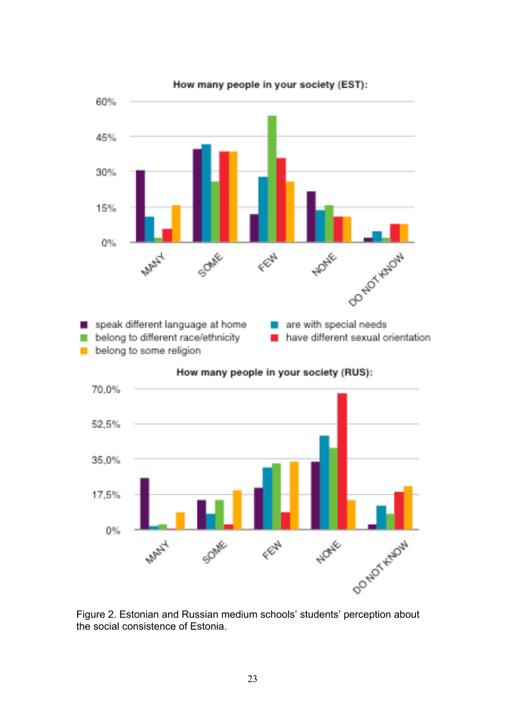



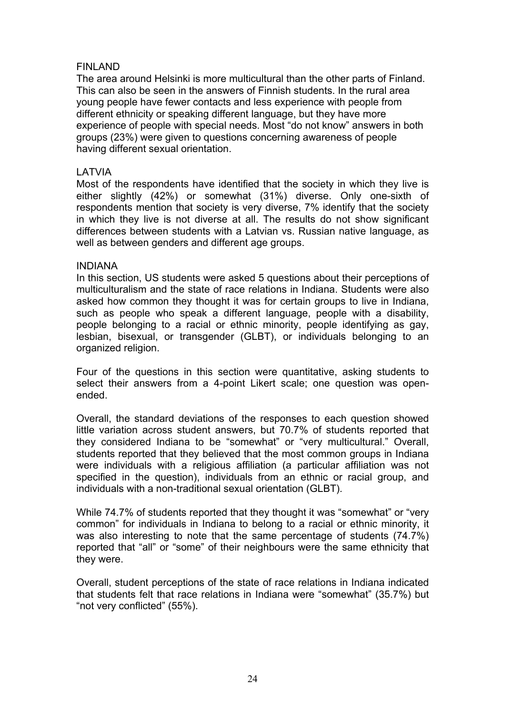# FINLAND

The area around Helsinki is more multicultural than the other parts of Finland. This can also be seen in the answers of Finnish students. In the rural area young people have fewer contacts and less experience with people from different ethnicity or speaking different language, but they have more experience of people with special needs. Most "do not know" answers in both groups (23%) were given to questions concerning awareness of people having different sexual orientation.

# LATVIA

Most of the respondents have identified that the society in which they live is either slightly (42%) or somewhat (31%) diverse. Only one-sixth of respondents mention that society is very diverse, 7% identify that the society in which they live is not diverse at all. The results do not show significant differences between students with a Latvian vs. Russian native language, as well as between genders and different age groups.

#### INDIANA

In this section, US students were asked 5 questions about their perceptions of multiculturalism and the state of race relations in Indiana. Students were also asked how common they thought it was for certain groups to live in Indiana, such as people who speak a different language, people with a disability, people belonging to a racial or ethnic minority, people identifying as gay, lesbian, bisexual, or transgender (GLBT), or individuals belonging to an organized religion.

Four of the questions in this section were quantitative, asking students to select their answers from a 4-point Likert scale; one question was openended.

Overall, the standard deviations of the responses to each question showed little variation across student answers, but 70.7% of students reported that they considered Indiana to be "somewhat" or "very multicultural." Overall, students reported that they believed that the most common groups in Indiana were individuals with a religious affiliation (a particular affiliation was not specified in the question), individuals from an ethnic or racial group, and individuals with a non-traditional sexual orientation (GLBT).

While 74.7% of students reported that they thought it was "somewhat" or "very common" for individuals in Indiana to belong to a racial or ethnic minority, it was also interesting to note that the same percentage of students (74.7%) reported that "all" or "some" of their neighbours were the same ethnicity that they were.

Overall, student perceptions of the state of race relations in Indiana indicated that students felt that race relations in Indiana were "somewhat" (35.7%) but "not very conflicted" (55%).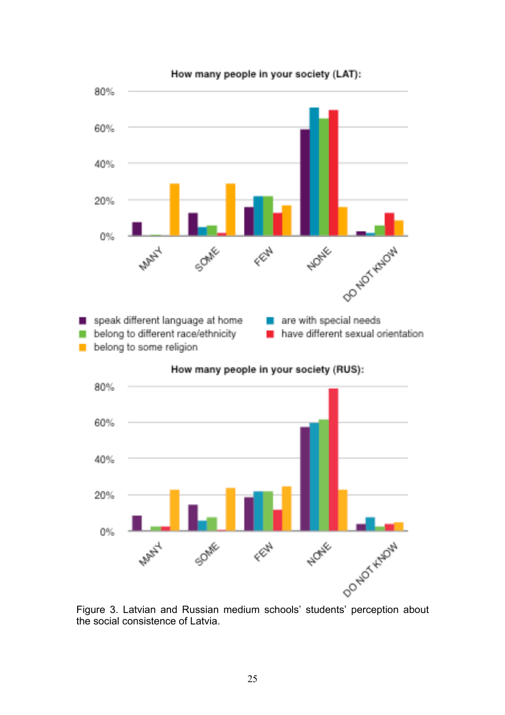

How many people in your society (LAT):

the social consistence of Latvia.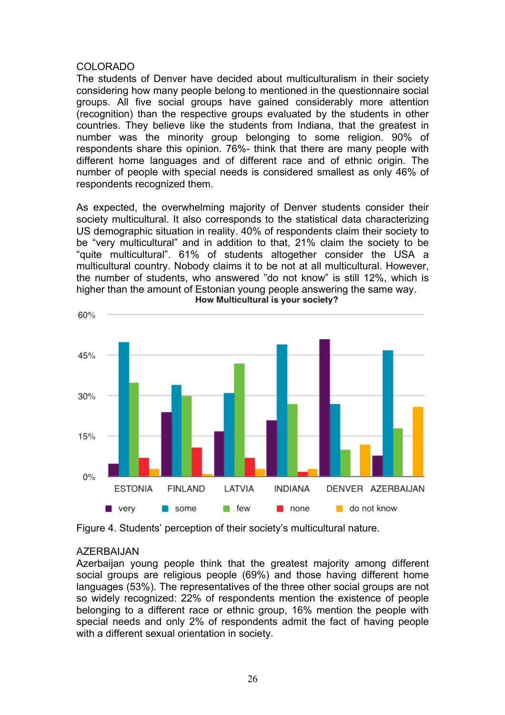#### COLORADO

The students of Denver have decided about multiculturalism in their society considering how many people belong to mentioned in the questionnaire social groups. All five social groups have gained considerably more attention (recognition) than the respective groups evaluated by the students in other countries. They believe like the students from Indiana, that the greatest in number was the minority group belonging to some religion. 90% of respondents share this opinion. 76%- think that there are many people with different home languages and of different race and of ethnic origin. The number of people with special needs is considered smallest as only 46% of respondents recognized them.

As expected, the overwhelming majority of Denver students consider their society multicultural. It also corresponds to the statistical data characterizing US demographic situation in reality. 40% of respondents claim their society to be "very multicultural" and in addition to that, 21% claim the society to be "quite multicultural". 61% of students altogether consider the USA a multicultural country. Nobody claims it to be not at all multicultural. However, the number of students, who answered "do not know" is still 12%, which is higher than the amount of Estonian young people answering the same way.<br>How Multicultural is your society?



Figure 4. Students' perception of their society's multicultural nature.

# AZERBAIJAN

Azerbaijan young people think that the greatest majority among different social groups are religious people (69%) and those having different home languages (53%). The representatives of the three other social groups are not so widely recognized: 22% of respondents mention the existence of people belonging to a different race or ethnic group, 16% mention the people with special needs and only 2% of respondents admit the fact of having people with a different sexual orientation in society.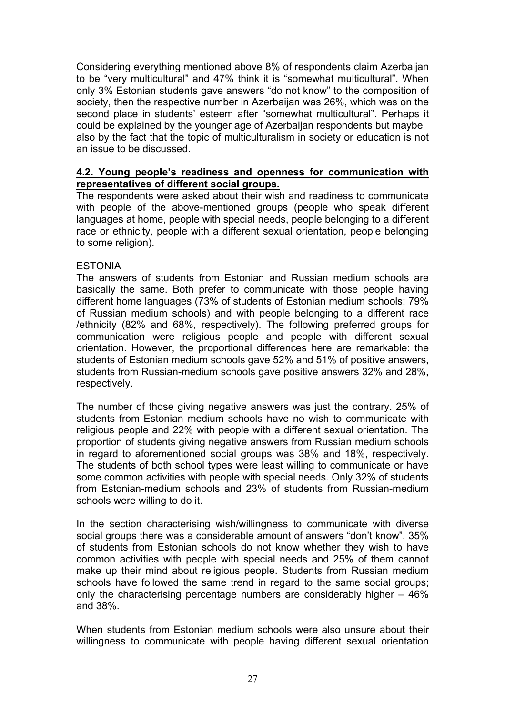Considering everything mentioned above 8% of respondents claim Azerbaijan to be "very multicultural" and 47% think it is "somewhat multicultural". When only 3% Estonian students gave answers "do not know" to the composition of society, then the respective number in Azerbaijan was 26%, which was on the second place in students' esteem after "somewhat multicultural". Perhaps it could be explained by the younger age of Azerbaijan respondents but maybe also by the fact that the topic of multiculturalism in society or education is not an issue to be discussed.

# **4.2. Young people's readiness and openness for communication with representatives of different social groups.**

The respondents were asked about their wish and readiness to communicate with people of the above-mentioned groups (people who speak different languages at home, people with special needs, people belonging to a different race or ethnicity, people with a different sexual orientation, people belonging to some religion).

# **ESTONIA**

The answers of students from Estonian and Russian medium schools are basically the same. Both prefer to communicate with those people having different home languages (73% of students of Estonian medium schools; 79% of Russian medium schools) and with people belonging to a different race /ethnicity (82% and 68%, respectively). The following preferred groups for communication were religious people and people with different sexual orientation. However, the proportional differences here are remarkable: the students of Estonian medium schools gave 52% and 51% of positive answers, students from Russian-medium schools gave positive answers 32% and 28%, respectively.

The number of those giving negative answers was just the contrary. 25% of students from Estonian medium schools have no wish to communicate with religious people and 22% with people with a different sexual orientation. The proportion of students giving negative answers from Russian medium schools in regard to aforementioned social groups was 38% and 18%, respectively. The students of both school types were least willing to communicate or have some common activities with people with special needs. Only 32% of students from Estonian-medium schools and 23% of students from Russian-medium schools were willing to do it.

In the section characterising wish/willingness to communicate with diverse social groups there was a considerable amount of answers "don't know". 35% of students from Estonian schools do not know whether they wish to have common activities with people with special needs and 25% of them cannot make up their mind about religious people. Students from Russian medium schools have followed the same trend in regard to the same social groups; only the characterising percentage numbers are considerably higher – 46% and 38%.

When students from Estonian medium schools were also unsure about their willingness to communicate with people having different sexual orientation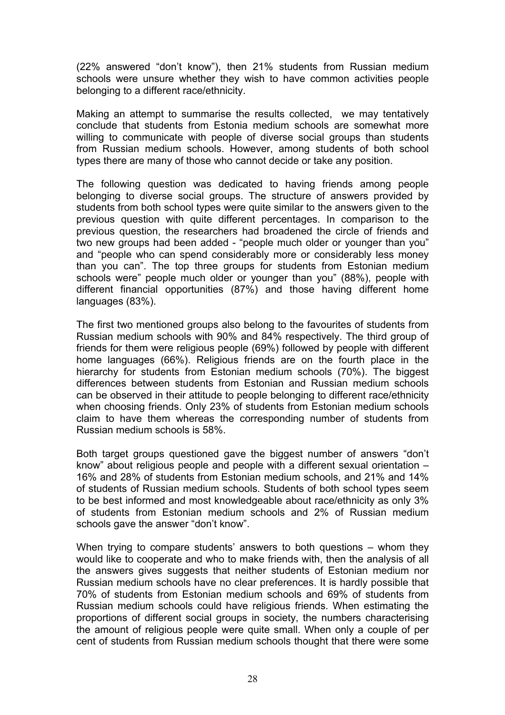(22% answered "don't know"), then 21% students from Russian medium schools were unsure whether they wish to have common activities people belonging to a different race/ethnicity.

Making an attempt to summarise the results collected, we may tentatively conclude that students from Estonia medium schools are somewhat more willing to communicate with people of diverse social groups than students from Russian medium schools. However, among students of both school types there are many of those who cannot decide or take any position.

The following question was dedicated to having friends among people belonging to diverse social groups. The structure of answers provided by students from both school types were quite similar to the answers given to the previous question with quite different percentages. In comparison to the previous question, the researchers had broadened the circle of friends and two new groups had been added - "people much older or younger than you" and "people who can spend considerably more or considerably less money than you can". The top three groups for students from Estonian medium schools were" people much older or younger than you" (88%), people with different financial opportunities (87%) and those having different home languages (83%).

The first two mentioned groups also belong to the favourites of students from Russian medium schools with 90% and 84% respectively. The third group of friends for them were religious people (69%) followed by people with different home languages (66%). Religious friends are on the fourth place in the hierarchy for students from Estonian medium schools (70%). The biggest differences between students from Estonian and Russian medium schools can be observed in their attitude to people belonging to different race/ethnicity when choosing friends. Only 23% of students from Estonian medium schools claim to have them whereas the corresponding number of students from Russian medium schools is 58%.

Both target groups questioned gave the biggest number of answers "don't know" about religious people and people with a different sexual orientation – 16% and 28% of students from Estonian medium schools, and 21% and 14% of students of Russian medium schools. Students of both school types seem to be best informed and most knowledgeable about race/ethnicity as only 3% of students from Estonian medium schools and 2% of Russian medium schools gave the answer "don't know".

When trying to compare students' answers to both questions – whom they would like to cooperate and who to make friends with, then the analysis of all the answers gives suggests that neither students of Estonian medium nor Russian medium schools have no clear preferences. It is hardly possible that 70% of students from Estonian medium schools and 69% of students from Russian medium schools could have religious friends. When estimating the proportions of different social groups in society, the numbers characterising the amount of religious people were quite small. When only a couple of per cent of students from Russian medium schools thought that there were some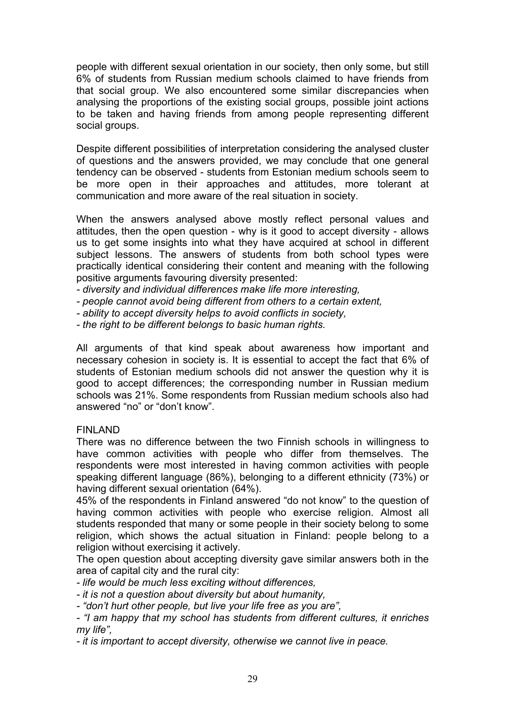people with different sexual orientation in our society, then only some, but still 6% of students from Russian medium schools claimed to have friends from that social group. We also encountered some similar discrepancies when analysing the proportions of the existing social groups, possible joint actions to be taken and having friends from among people representing different social groups.

Despite different possibilities of interpretation considering the analysed cluster of questions and the answers provided, we may conclude that one general tendency can be observed - students from Estonian medium schools seem to be more open in their approaches and attitudes, more tolerant at communication and more aware of the real situation in society.

When the answers analysed above mostly reflect personal values and attitudes, then the open question - why is it good to accept diversity - allows us to get some insights into what they have acquired at school in different subject lessons. The answers of students from both school types were practically identical considering their content and meaning with the following positive arguments favouring diversity presented:

*- diversity and individual differences make life more interesting,*

- *people cannot avoid being different from others to a certain extent,*
- *ability to accept diversity helps to avoid conflicts in society,*
- *the right to be different belongs to basic human rights.*

All arguments of that kind speak about awareness how important and necessary cohesion in society is. It is essential to accept the fact that 6% of students of Estonian medium schools did not answer the question why it is good to accept differences; the corresponding number in Russian medium schools was 21%. Some respondents from Russian medium schools also had answered "no" or "don't know".

# FINLAND

There was no difference between the two Finnish schools in willingness to have common activities with people who differ from themselves. The respondents were most interested in having common activities with people speaking different language (86%), belonging to a different ethnicity (73%) or having different sexual orientation (64%).

45% of the respondents in Finland answered "do not know" to the question of having common activities with people who exercise religion. Almost all students responded that many or some people in their society belong to some religion, which shows the actual situation in Finland: people belong to a religion without exercising it actively.

The open question about accepting diversity gave similar answers both in the area of capital city and the rural city:

*- life would be much less exciting without differences,*

*- it is not a question about diversity but about humanity,*

*- "don't hurt other people, but live your life free as you are",*

*- "I am happy that my school has students from different cultures, it enriches my life",*

*- it is important to accept diversity, otherwise we cannot live in peace.*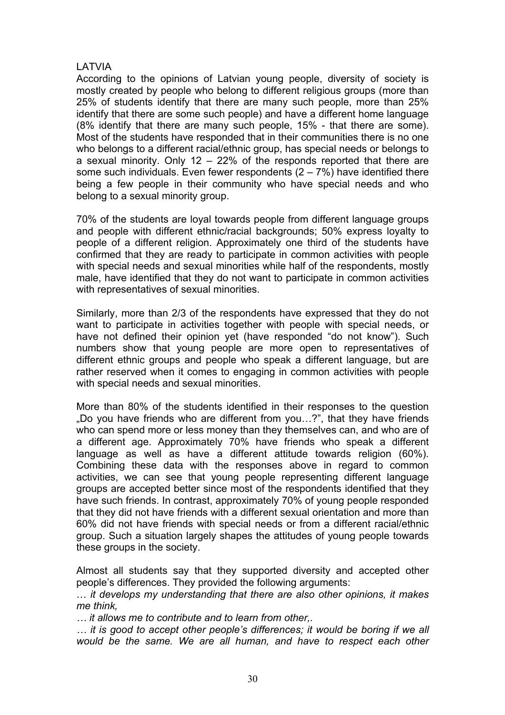# LATVIA

According to the opinions of Latvian young people, diversity of society is mostly created by people who belong to different religious groups (more than 25% of students identify that there are many such people, more than 25% identify that there are some such people) and have a different home language (8% identify that there are many such people, 15% - that there are some). Most of the students have responded that in their communities there is no one who belongs to a different racial/ethnic group, has special needs or belongs to a sexual minority. Only 12 – 22% of the responds reported that there are some such individuals. Even fewer respondents  $(2 - 7%)$  have identified there being a few people in their community who have special needs and who belong to a sexual minority group.

70% of the students are loyal towards people from different language groups and people with different ethnic/racial backgrounds; 50% express loyalty to people of a different religion. Approximately one third of the students have confirmed that they are ready to participate in common activities with people with special needs and sexual minorities while half of the respondents, mostly male, have identified that they do not want to participate in common activities with representatives of sexual minorities.

Similarly, more than 2/3 of the respondents have expressed that they do not want to participate in activities together with people with special needs, or have not defined their opinion yet (have responded "do not know"). Such numbers show that young people are more open to representatives of different ethnic groups and people who speak a different language, but are rather reserved when it comes to engaging in common activities with people with special needs and sexual minorities.

More than 80% of the students identified in their responses to the question "Do you have friends who are different from you…?", that they have friends who can spend more or less money than they themselves can, and who are of a different age. Approximately 70% have friends who speak a different language as well as have a different attitude towards religion (60%). Combining these data with the responses above in regard to common activities, we can see that young people representing different language groups are accepted better since most of the respondents identified that they have such friends. In contrast, approximately 70% of young people responded that they did not have friends with a different sexual orientation and more than 60% did not have friends with special needs or from a different racial/ethnic group. Such a situation largely shapes the attitudes of young people towards these groups in the society.

Almost all students say that they supported diversity and accepted other people's differences. They provided the following arguments:

… *it develops my understanding that there are also other opinions, it makes me think,*

*… it allows me to contribute and to learn from other,.*

*… it is good to accept other people's differences; it would be boring if we all would be the same. We are all human, and have to respect each other*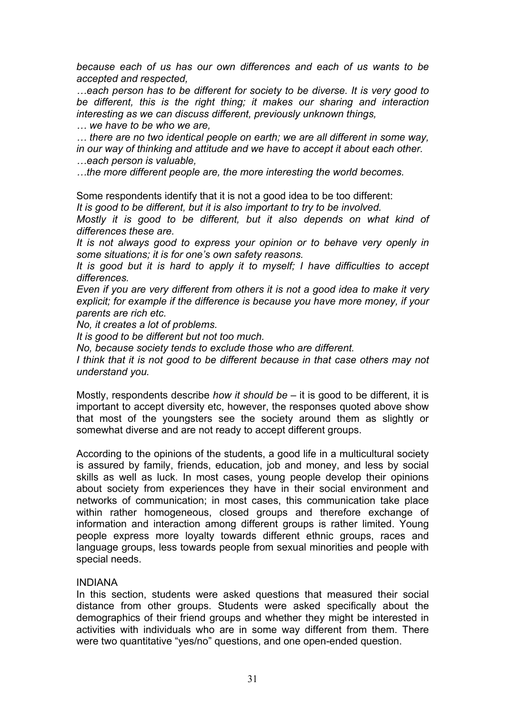*because each of us has our own differences and each of us wants to be accepted and respected,*

*…each person has to be different for society to be diverse. It is very good to be different, this is the right thing; it makes our sharing and interaction interesting as we can discuss different, previously unknown things,*

*… we have to be who we are,* 

*… there are no two identical people on earth; we are all different in some way, in our way of thinking and attitude and we have to accept it about each other. …each person is valuable,* 

*…the more different people are, the more interesting the world becomes.* 

Some respondents identify that it is not a good idea to be too different:

*It is good to be different, but it is also important to try to be involved.* 

*Mostly it is good to be different, but it also depends on what kind of differences these are.* 

*It is not always good to express your opinion or to behave very openly in some situations; it is for one's own safety reasons.*

*It is good but it is hard to apply it to myself; I have difficulties to accept differences.*

*Even if you are very different from others it is not a good idea to make it very explicit; for example if the difference is because you have more money, if your parents are rich etc.* 

*No, it creates a lot of problems.* 

*It is good to be different but not too much.* 

*No, because society tends to exclude those who are different.*

*I think that it is not good to be different because in that case others may not understand you.* 

Mostly, respondents describe *how it should be* – it is good to be different, it is important to accept diversity etc, however, the responses quoted above show that most of the youngsters see the society around them as slightly or somewhat diverse and are not ready to accept different groups.

According to the opinions of the students, a good life in a multicultural society is assured by family, friends, education, job and money, and less by social skills as well as luck. In most cases, young people develop their opinions about society from experiences they have in their social environment and networks of communication; in most cases, this communication take place within rather homogeneous, closed groups and therefore exchange of information and interaction among different groups is rather limited. Young people express more loyalty towards different ethnic groups, races and language groups, less towards people from sexual minorities and people with special needs.

#### INDIANA

In this section, students were asked questions that measured their social distance from other groups. Students were asked specifically about the demographics of their friend groups and whether they might be interested in activities with individuals who are in some way different from them. There were two quantitative "yes/no" questions, and one open-ended question.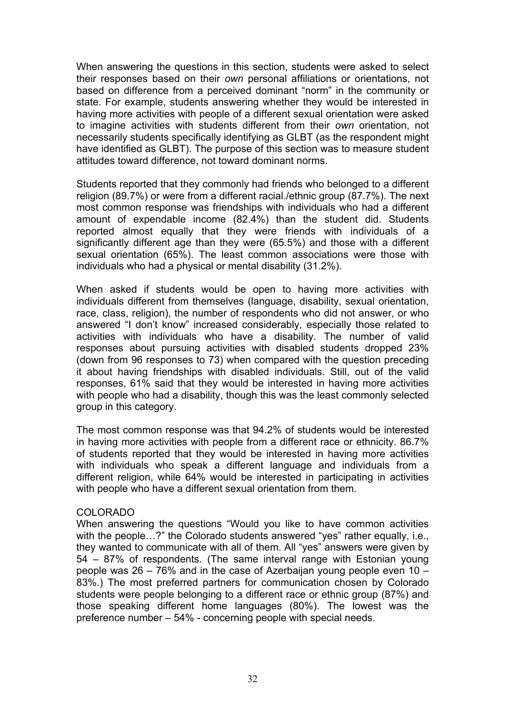When answering the questions in this section, students were asked to select their responses based on their *own* personal affiliations or orientations, not based on difference from a perceived dominant "norm" in the community or state. For example, students answering whether they would be interested in having more activities with people of a different sexual orientation were asked to imagine activities with students different from their *own* orientation, not necessarily students specifically identifying as GLBT (as the respondent might have identified as GLBT). The purpose of this section was to measure student attitudes toward difference, not toward dominant norms.

Students reported that they commonly had friends who belonged to a different religion (89.7%) or were from a different racial./ethnic group (87.7%). The next most common response was friendships with individuals who had a different amount of expendable income (82.4%) than the student did. Students reported almost equally that they were friends with individuals of a significantly different age than they were (65.5%) and those with a different sexual orientation (65%). The least common associations were those with individuals who had a physical or mental disability (31.2%).

When asked if students would be open to having more activities with individuals different from themselves (language, disability, sexual orientation, race, class, religion), the number of respondents who did not answer, or who answered "I don't know" increased considerably, especially those related to activities with individuals who have a disability. The number of valid responses about pursuing activities with disabled students dropped 23% (down from 96 responses to 73) when compared with the question preceding it about having friendships with disabled individuals. Still, out of the valid responses, 61% said that they would be interested in having more activities with people who had a disability, though this was the least commonly selected group in this category.

The most common response was that 94.2% of students would be interested in having more activities with people from a different race or ethnicity. 86.7% of students reported that they would be interested in having more activities with individuals who speak a different language and individuals from a different religion, while 64% would be interested in participating in activities with people who have a different sexual orientation from them.

# COLORADO

When answering the questions "Would you like to have common activities with the people...?" the Colorado students answered "yes" rather equally, i.e., they wanted to communicate with all of them. All "yes" answers were given by 54 – 87% of respondents. (The same interval range with Estonian young people was 26 – 76% and in the case of Azerbaijan young people even 10 – 83%.) The most preferred partners for communication chosen by Colorado students were people belonging to a different race or ethnic group (87%) and those speaking different home languages (80%). The lowest was the preference number – 54% - concerning people with special needs.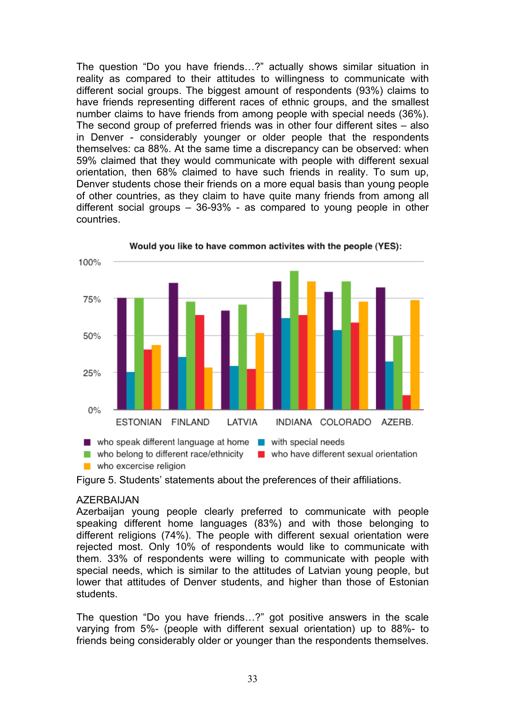The question "Do you have friends…?" actually shows similar situation in reality as compared to their attitudes to willingness to communicate with different social groups. The biggest amount of respondents (93%) claims to have friends representing different races of ethnic groups, and the smallest number claims to have friends from among people with special needs (36%). The second group of preferred friends was in other four different sites – also in Denver - considerably younger or older people that the respondents themselves: ca 88%. At the same time a discrepancy can be observed: when 59% claimed that they would communicate with people with different sexual orientation, then 68% claimed to have such friends in reality. To sum up, Denver students chose their friends on a more equal basis than young people of other countries, as they claim to have quite many friends from among all different social groups – 36-93% - as compared to young people in other countries.



Would you like to have common activites with the people (YES):

# AZERBAIJAN

Azerbaijan young people clearly preferred to communicate with people speaking different home languages (83%) and with those belonging to different religions (74%). The people with different sexual orientation were rejected most. Only 10% of respondents would like to communicate with them. 33% of respondents were willing to communicate with people with special needs, which is similar to the attitudes of Latvian young people, but lower that attitudes of Denver students, and higher than those of Estonian students.

The question "Do you have friends…?" got positive answers in the scale varying from 5%- (people with different sexual orientation) up to 88%- to friends being considerably older or younger than the respondents themselves.

Figure 5. Students' statements about the preferences of their affiliations.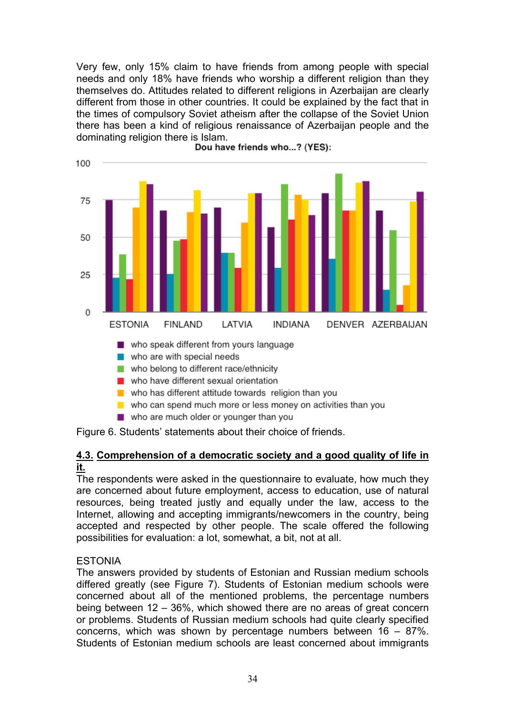Very few, only 15% claim to have friends from among people with special needs and only 18% have friends who worship a different religion than they themselves do. Attitudes related to different religions in Azerbaijan are clearly different from those in other countries. It could be explained by the fact that in the times of compulsory Soviet atheism after the collapse of the Soviet Union there has been a kind of religious renaissance of Azerbaijan people and the dominating religion there is Islam.<br>Dou have friends who...? (YES):



Figure 6. Students' statements about their choice of friends.

# **4.3. Comprehension of a democratic society and a good quality of life in it.**

The respondents were asked in the questionnaire to evaluate, how much they are concerned about future employment, access to education, use of natural resources, being treated justly and equally under the law, access to the Internet, allowing and accepting immigrants/newcomers in the country, being accepted and respected by other people. The scale offered the following possibilities for evaluation: a lot, somewhat, a bit, not at all.

# ESTONIA

The answers provided by students of Estonian and Russian medium schools differed greatly (see Figure 7). Students of Estonian medium schools were concerned about all of the mentioned problems, the percentage numbers being between 12 – 36%, which showed there are no areas of great concern or problems. Students of Russian medium schools had quite clearly specified concerns, which was shown by percentage numbers between 16 – 87%. Students of Estonian medium schools are least concerned about immigrants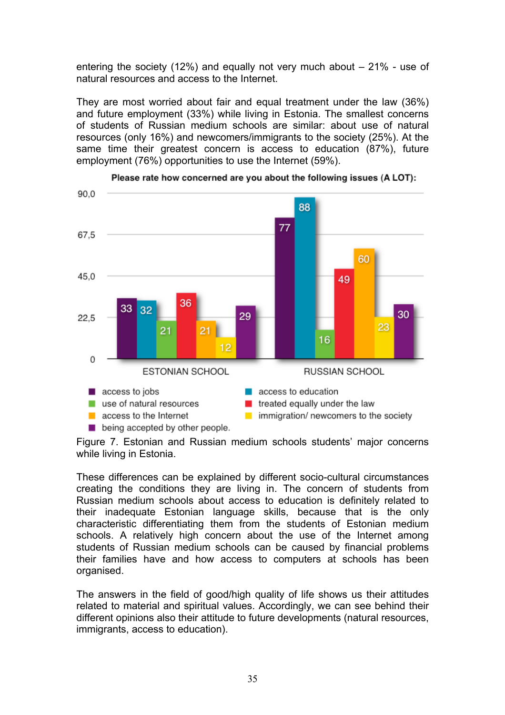entering the society (12%) and equally not very much about – 21% - use of natural resources and access to the Internet.

They are most worried about fair and equal treatment under the law (36%) and future employment (33%) while living in Estonia. The smallest concerns of students of Russian medium schools are similar: about use of natural resources (only 16%) and newcomers/immigrants to the society (25%). At the same time their greatest concern is access to education (87%), future employment (76%) opportunities to use the Internet (59%).



Please rate how concerned are you about the following issues (A LOT):

Figure 7. Estonian and Russian medium schools students' major concerns while living in Estonia.

These differences can be explained by different socio-cultural circumstances creating the conditions they are living in. The concern of students from Russian medium schools about access to education is definitely related to their inadequate Estonian language skills, because that is the only characteristic differentiating them from the students of Estonian medium schools. A relatively high concern about the use of the Internet among students of Russian medium schools can be caused by financial problems their families have and how access to computers at schools has been organised.

The answers in the field of good/high quality of life shows us their attitudes related to material and spiritual values. Accordingly, we can see behind their different opinions also their attitude to future developments (natural resources, immigrants, access to education).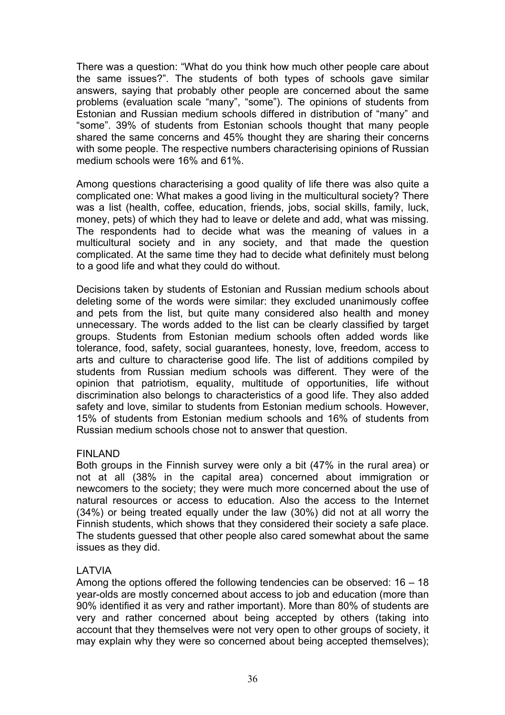There was a question: "What do you think how much other people care about the same issues?". The students of both types of schools gave similar answers, saying that probably other people are concerned about the same problems (evaluation scale "many", "some"). The opinions of students from Estonian and Russian medium schools differed in distribution of "many" and "some". 39% of students from Estonian schools thought that many people shared the same concerns and 45% thought they are sharing their concerns with some people. The respective numbers characterising opinions of Russian medium schools were 16% and 61%.

Among questions characterising a good quality of life there was also quite a complicated one: What makes a good living in the multicultural society? There was a list (health, coffee, education, friends, jobs, social skills, family, luck, money, pets) of which they had to leave or delete and add, what was missing. The respondents had to decide what was the meaning of values in a multicultural society and in any society, and that made the question complicated. At the same time they had to decide what definitely must belong to a good life and what they could do without.

Decisions taken by students of Estonian and Russian medium schools about deleting some of the words were similar: they excluded unanimously coffee and pets from the list, but quite many considered also health and money unnecessary. The words added to the list can be clearly classified by target groups. Students from Estonian medium schools often added words like tolerance, food, safety, social guarantees, honesty, love, freedom, access to arts and culture to characterise good life. The list of additions compiled by students from Russian medium schools was different. They were of the opinion that patriotism, equality, multitude of opportunities, life without discrimination also belongs to characteristics of a good life. They also added safety and love, similar to students from Estonian medium schools. However, 15% of students from Estonian medium schools and 16% of students from Russian medium schools chose not to answer that question.

# FINLAND

Both groups in the Finnish survey were only a bit (47% in the rural area) or not at all (38% in the capital area) concerned about immigration or newcomers to the society; they were much more concerned about the use of natural resources or access to education. Also the access to the Internet (34%) or being treated equally under the law (30%) did not at all worry the Finnish students, which shows that they considered their society a safe place. The students guessed that other people also cared somewhat about the same issues as they did.

# LATVIA

Among the options offered the following tendencies can be observed: 16 – 18 year-olds are mostly concerned about access to job and education (more than 90% identified it as very and rather important). More than 80% of students are very and rather concerned about being accepted by others (taking into account that they themselves were not very open to other groups of society, it may explain why they were so concerned about being accepted themselves);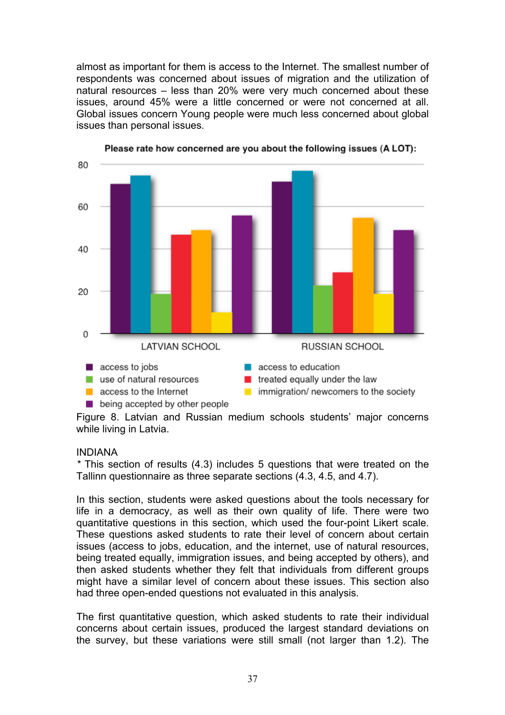almost as important for them is access to the Internet. The smallest number of respondents was concerned about issues of migration and the utilization of natural resources – less than 20% were very much concerned about these issues, around 45% were a little concerned or were not concerned at all. Global issues concern Young people were much less concerned about global issues than personal issues.



Please rate how concerned are you about the following issues (A LOT):

Figure 8. Latvian and Russian medium schools students' major concerns while living in Latvia.

#### INDIANA

*\** This section of results (4.3) includes 5 questions that were treated on the Tallinn questionnaire as three separate sections (4.3, 4.5, and 4.7).

In this section, students were asked questions about the tools necessary for life in a democracy, as well as their own quality of life. There were two quantitative questions in this section, which used the four-point Likert scale. These questions asked students to rate their level of concern about certain issues (access to jobs, education, and the internet, use of natural resources, being treated equally, immigration issues, and being accepted by others), and then asked students whether they felt that individuals from different groups might have a similar level of concern about these issues. This section also had three open-ended questions not evaluated in this analysis.

The first quantitative question, which asked students to rate their individual concerns about certain issues, produced the largest standard deviations on the survey, but these variations were still small (not larger than 1.2). The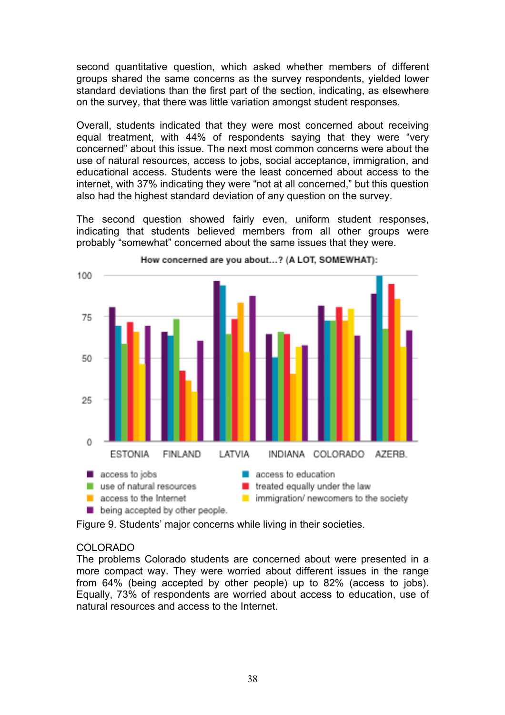second quantitative question, which asked whether members of different groups shared the same concerns as the survey respondents, yielded lower standard deviations than the first part of the section, indicating, as elsewhere on the survey, that there was little variation amongst student responses.

Overall, students indicated that they were most concerned about receiving equal treatment, with 44% of respondents saying that they were "very concerned" about this issue. The next most common concerns were about the use of natural resources, access to jobs, social acceptance, immigration, and educational access. Students were the least concerned about access to the internet, with 37% indicating they were "not at all concerned," but this question also had the highest standard deviation of any question on the survey.

The second question showed fairly even, uniform student responses, indicating that students believed members from all other groups were probably "somewhat" concerned about the same issues that they were.



How concerned are you about...? (A LOT, SOMEWHAT):

Figure 9. Students' major concerns while living in their societies.

# COLORADO

The problems Colorado students are concerned about were presented in a more compact way. They were worried about different issues in the range from 64% (being accepted by other people) up to 82% (access to jobs). Equally, 73% of respondents are worried about access to education, use of natural resources and access to the Internet.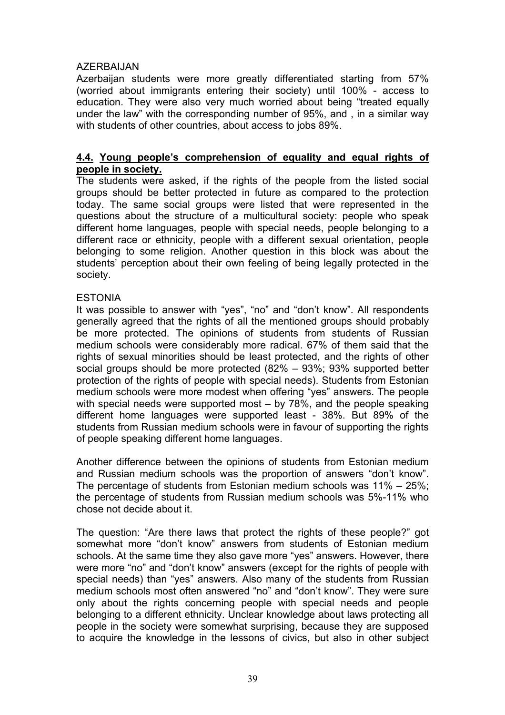# AZERBAIJAN

Azerbaijan students were more greatly differentiated starting from 57% (worried about immigrants entering their society) until 100% - access to education. They were also very much worried about being "treated equally under the law" with the corresponding number of 95%, and , in a similar way with students of other countries, about access to jobs 89%.

#### **4.4. Young people's comprehension of equality and equal rights of people in society.**

The students were asked, if the rights of the people from the listed social groups should be better protected in future as compared to the protection today. The same social groups were listed that were represented in the questions about the structure of a multicultural society: people who speak different home languages, people with special needs, people belonging to a different race or ethnicity, people with a different sexual orientation, people belonging to some religion. Another question in this block was about the students' perception about their own feeling of being legally protected in the society.

#### **ESTONIA**

It was possible to answer with "yes", "no" and "don't know". All respondents generally agreed that the rights of all the mentioned groups should probably be more protected. The opinions of students from students of Russian medium schools were considerably more radical. 67% of them said that the rights of sexual minorities should be least protected, and the rights of other social groups should be more protected (82% – 93%; 93% supported better protection of the rights of people with special needs). Students from Estonian medium schools were more modest when offering "yes" answers. The people with special needs were supported most – by 78%, and the people speaking different home languages were supported least - 38%. But 89% of the students from Russian medium schools were in favour of supporting the rights of people speaking different home languages.

Another difference between the opinions of students from Estonian medium and Russian medium schools was the proportion of answers "don't know". The percentage of students from Estonian medium schools was 11% – 25%; the percentage of students from Russian medium schools was 5%-11% who chose not decide about it.

The question: "Are there laws that protect the rights of these people?" got somewhat more "don't know" answers from students of Estonian medium schools. At the same time they also gave more "yes" answers. However, there were more "no" and "don't know" answers (except for the rights of people with special needs) than "yes" answers. Also many of the students from Russian medium schools most often answered "no" and "don't know". They were sure only about the rights concerning people with special needs and people belonging to a different ethnicity. Unclear knowledge about laws protecting all people in the society were somewhat surprising, because they are supposed to acquire the knowledge in the lessons of civics, but also in other subject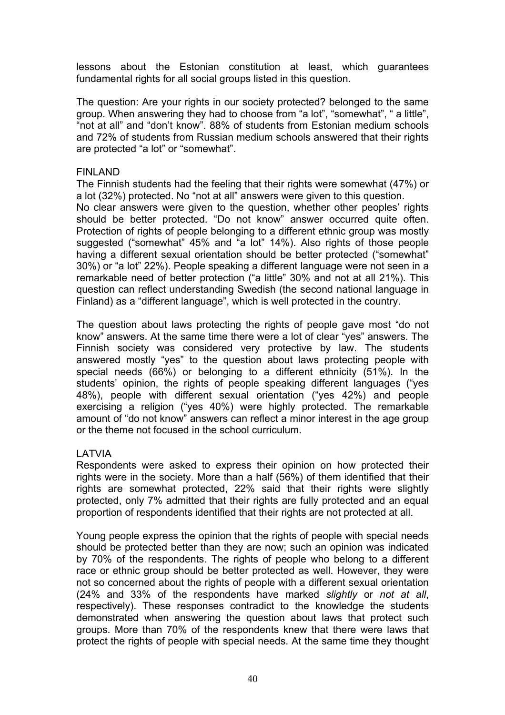lessons about the Estonian constitution at least, which guarantees fundamental rights for all social groups listed in this question.

The question: Are your rights in our society protected? belonged to the same group. When answering they had to choose from "a lot", "somewhat", " a little", "not at all" and "don't know". 88% of students from Estonian medium schools and 72% of students from Russian medium schools answered that their rights are protected "a lot" or "somewhat".

#### FINLAND

The Finnish students had the feeling that their rights were somewhat (47%) or a lot (32%) protected. No "not at all" answers were given to this question. No clear answers were given to the question, whether other peoples' rights should be better protected. "Do not know" answer occurred quite often. Protection of rights of people belonging to a different ethnic group was mostly suggested ("somewhat" 45% and "a lot" 14%). Also rights of those people having a different sexual orientation should be better protected ("somewhat" 30%) or "a lot" 22%). People speaking a different language were not seen in a remarkable need of better protection ("a little" 30% and not at all 21%). This question can reflect understanding Swedish (the second national language in Finland) as a "different language", which is well protected in the country.

The question about laws protecting the rights of people gave most "do not know" answers. At the same time there were a lot of clear "yes" answers. The Finnish society was considered very protective by law. The students answered mostly "yes" to the question about laws protecting people with special needs (66%) or belonging to a different ethnicity (51%). In the students' opinion, the rights of people speaking different languages ("yes 48%), people with different sexual orientation ("yes 42%) and people exercising a religion ("yes 40%) were highly protected. The remarkable amount of "do not know" answers can reflect a minor interest in the age group or the theme not focused in the school curriculum.

# LATVIA

Respondents were asked to express their opinion on how protected their rights were in the society. More than a half (56%) of them identified that their rights are somewhat protected, 22% said that their rights were slightly protected, only 7% admitted that their rights are fully protected and an equal proportion of respondents identified that their rights are not protected at all.

Young people express the opinion that the rights of people with special needs should be protected better than they are now; such an opinion was indicated by 70% of the respondents. The rights of people who belong to a different race or ethnic group should be better protected as well. However, they were not so concerned about the rights of people with a different sexual orientation (24% and 33% of the respondents have marked *slightly* or *not at all*, respectively). These responses contradict to the knowledge the students demonstrated when answering the question about laws that protect such groups. More than 70% of the respondents knew that there were laws that protect the rights of people with special needs. At the same time they thought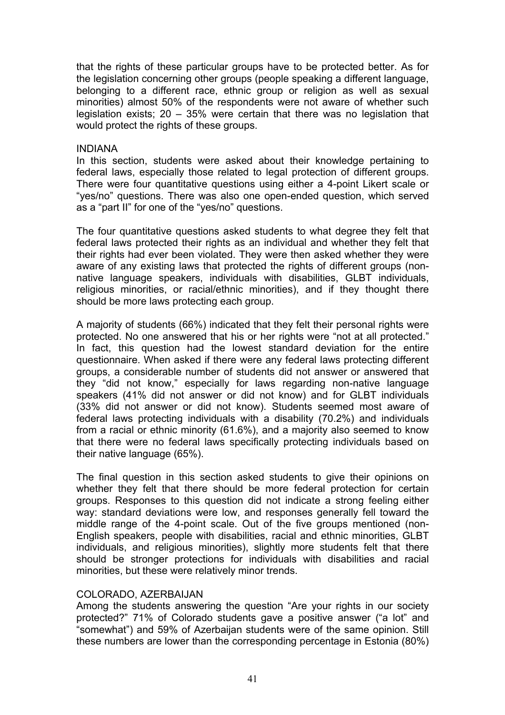that the rights of these particular groups have to be protected better. As for the legislation concerning other groups (people speaking a different language, belonging to a different race, ethnic group or religion as well as sexual minorities) almost 50% of the respondents were not aware of whether such legislation exists; 20 – 35% were certain that there was no legislation that would protect the rights of these groups.

#### INDIANA

In this section, students were asked about their knowledge pertaining to federal laws, especially those related to legal protection of different groups. There were four quantitative questions using either a 4-point Likert scale or "yes/no" questions. There was also one open-ended question, which served as a "part II" for one of the "yes/no" questions.

The four quantitative questions asked students to what degree they felt that federal laws protected their rights as an individual and whether they felt that their rights had ever been violated. They were then asked whether they were aware of any existing laws that protected the rights of different groups (nonnative language speakers, individuals with disabilities, GLBT individuals, religious minorities, or racial/ethnic minorities), and if they thought there should be more laws protecting each group.

A majority of students (66%) indicated that they felt their personal rights were protected. No one answered that his or her rights were "not at all protected." In fact, this question had the lowest standard deviation for the entire questionnaire. When asked if there were any federal laws protecting different groups, a considerable number of students did not answer or answered that they "did not know," especially for laws regarding non-native language speakers (41% did not answer or did not know) and for GLBT individuals (33% did not answer or did not know). Students seemed most aware of federal laws protecting individuals with a disability (70.2%) and individuals from a racial or ethnic minority (61.6%), and a majority also seemed to know that there were no federal laws specifically protecting individuals based on their native language (65%).

The final question in this section asked students to give their opinions on whether they felt that there should be more federal protection for certain groups. Responses to this question did not indicate a strong feeling either way: standard deviations were low, and responses generally fell toward the middle range of the 4-point scale. Out of the five groups mentioned (non-English speakers, people with disabilities, racial and ethnic minorities, GLBT individuals, and religious minorities), slightly more students felt that there should be stronger protections for individuals with disabilities and racial minorities, but these were relatively minor trends.

# COLORADO, AZERBAIJAN

Among the students answering the question "Are your rights in our society protected?" 71% of Colorado students gave a positive answer ("a lot" and "somewhat") and 59% of Azerbaijan students were of the same opinion. Still these numbers are lower than the corresponding percentage in Estonia (80%)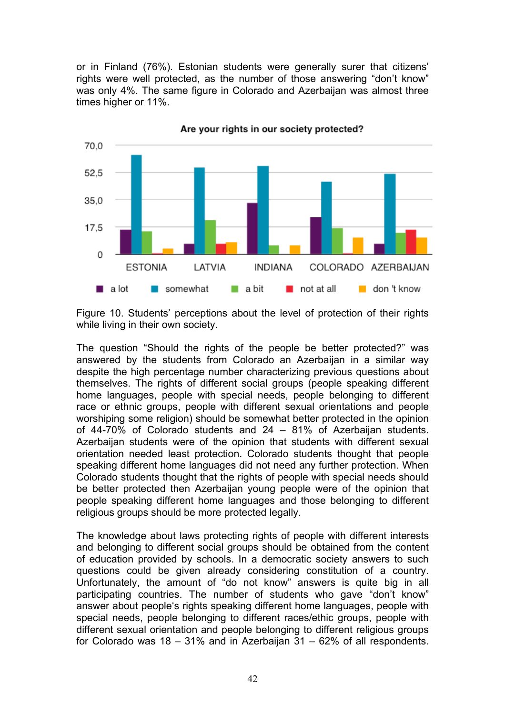or in Finland (76%). Estonian students were generally surer that citizens' rights were well protected, as the number of those answering "don't know" was only 4%. The same figure in Colorado and Azerbaijan was almost three times higher or 11%.



Are your rights in our society protected?

Figure 10. Students' perceptions about the level of protection of their rights while living in their own society.

The question "Should the rights of the people be better protected?" was answered by the students from Colorado an Azerbaijan in a similar way despite the high percentage number characterizing previous questions about themselves. The rights of different social groups (people speaking different home languages, people with special needs, people belonging to different race or ethnic groups, people with different sexual orientations and people worshiping some religion) should be somewhat better protected in the opinion of 44-70% of Colorado students and 24 – 81% of Azerbaijan students. Azerbaijan students were of the opinion that students with different sexual orientation needed least protection. Colorado students thought that people speaking different home languages did not need any further protection. When Colorado students thought that the rights of people with special needs should be better protected then Azerbaijan young people were of the opinion that people speaking different home languages and those belonging to different religious groups should be more protected legally.

The knowledge about laws protecting rights of people with different interests and belonging to different social groups should be obtained from the content of education provided by schools. In a democratic society answers to such questions could be given already considering constitution of a country. Unfortunately, the amount of "do not know" answers is quite big in all participating countries. The number of students who gave "don't know" answer about people's rights speaking different home languages, people with special needs, people belonging to different races/ethic groups, people with different sexual orientation and people belonging to different religious groups for Colorado was  $18 - 31\%$  and in Azerbaijan  $31 - 62\%$  of all respondents.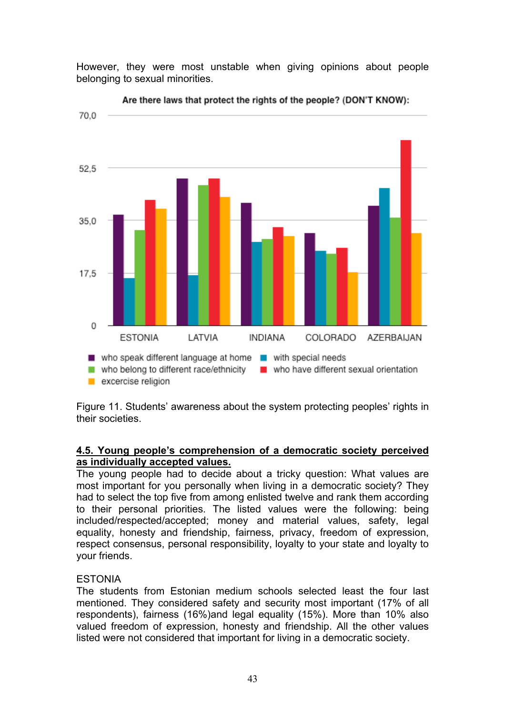However, they were most unstable when giving opinions about people belonging to sexual minorities.



Are there laws that protect the rights of the people? (DON'T KNOW):

Figure 11. Students' awareness about the system protecting peoples' rights in their societies.

# **4.5. Young people's comprehension of a democratic society perceived as individually accepted values.**

The young people had to decide about a tricky question: What values are most important for you personally when living in a democratic society? They had to select the top five from among enlisted twelve and rank them according to their personal priorities. The listed values were the following: being included/respected/accepted; money and material values, safety, legal equality, honesty and friendship, fairness, privacy, freedom of expression, respect consensus, personal responsibility, loyalty to your state and loyalty to your friends.

# ESTONIA

The students from Estonian medium schools selected least the four last mentioned. They considered safety and security most important (17% of all respondents), fairness (16%)and legal equality (15%). More than 10% also valued freedom of expression, honesty and friendship. All the other values listed were not considered that important for living in a democratic society.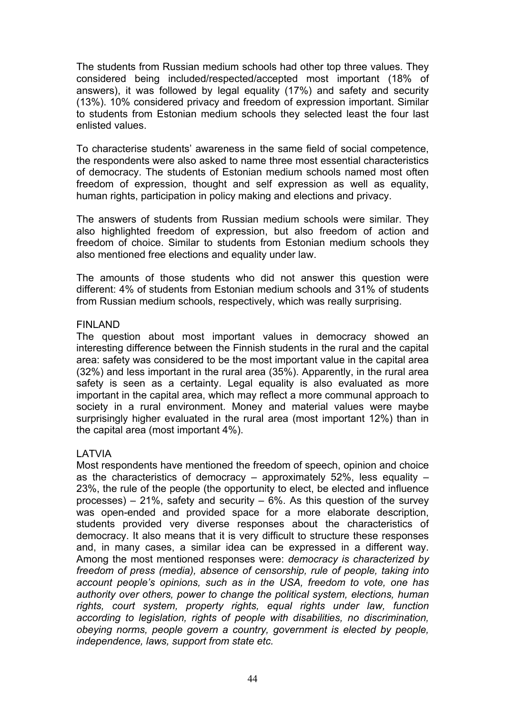The students from Russian medium schools had other top three values. They considered being included/respected/accepted most important (18% of answers), it was followed by legal equality (17%) and safety and security (13%). 10% considered privacy and freedom of expression important. Similar to students from Estonian medium schools they selected least the four last enlisted values.

To characterise students' awareness in the same field of social competence, the respondents were also asked to name three most essential characteristics of democracy. The students of Estonian medium schools named most often freedom of expression, thought and self expression as well as equality, human rights, participation in policy making and elections and privacy.

The answers of students from Russian medium schools were similar. They also highlighted freedom of expression, but also freedom of action and freedom of choice. Similar to students from Estonian medium schools they also mentioned free elections and equality under law.

The amounts of those students who did not answer this question were different: 4% of students from Estonian medium schools and 31% of students from Russian medium schools, respectively, which was really surprising.

#### FINLAND

The question about most important values in democracy showed an interesting difference between the Finnish students in the rural and the capital area: safety was considered to be the most important value in the capital area (32%) and less important in the rural area (35%). Apparently, in the rural area safety is seen as a certainty. Legal equality is also evaluated as more important in the capital area, which may reflect a more communal approach to society in a rural environment. Money and material values were maybe surprisingly higher evaluated in the rural area (most important 12%) than in the capital area (most important 4%).

# LATVIA

Most respondents have mentioned the freedom of speech, opinion and choice as the characteristics of democracy – approximately 52%, less equality – 23%, the rule of the people (the opportunity to elect, be elected and influence processes) – 21%, safety and security –  $6\%$ . As this question of the survey was open-ended and provided space for a more elaborate description, students provided very diverse responses about the characteristics of democracy. It also means that it is very difficult to structure these responses and, in many cases, a similar idea can be expressed in a different way. Among the most mentioned responses were: *democracy is characterized by freedom of press (media), absence of censorship, rule of people, taking into account people's opinions, such as in the USA, freedom to vote, one has authority over others, power to change the political system, elections, human rights, court system, property rights, equal rights under law, function according to legislation, rights of people with disabilities, no discrimination, obeying norms, people govern a country, government is elected by people, independence, laws, support from state etc.*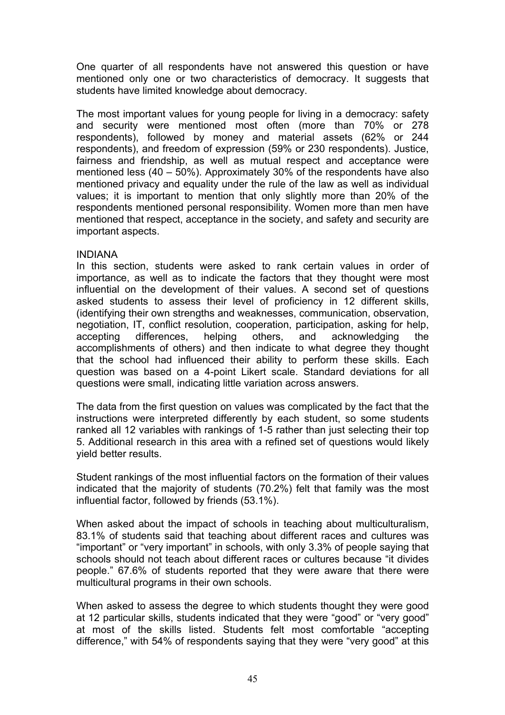One quarter of all respondents have not answered this question or have mentioned only one or two characteristics of democracy. It suggests that students have limited knowledge about democracy.

The most important values for young people for living in a democracy: safety and security were mentioned most often (more than 70% or 278 respondents), followed by money and material assets (62% or 244 respondents), and freedom of expression (59% or 230 respondents). Justice, fairness and friendship, as well as mutual respect and acceptance were mentioned less (40 – 50%). Approximately 30% of the respondents have also mentioned privacy and equality under the rule of the law as well as individual values; it is important to mention that only slightly more than 20% of the respondents mentioned personal responsibility. Women more than men have mentioned that respect, acceptance in the society, and safety and security are important aspects.

#### INDIANA

In this section, students were asked to rank certain values in order of importance, as well as to indicate the factors that they thought were most influential on the development of their values. A second set of questions asked students to assess their level of proficiency in 12 different skills, (identifying their own strengths and weaknesses, communication, observation, negotiation, IT, conflict resolution, cooperation, participation, asking for help, accepting differences, helping others, and acknowledging the accomplishments of others) and then indicate to what degree they thought that the school had influenced their ability to perform these skills. Each question was based on a 4-point Likert scale. Standard deviations for all questions were small, indicating little variation across answers.

The data from the first question on values was complicated by the fact that the instructions were interpreted differently by each student, so some students ranked all 12 variables with rankings of 1-5 rather than just selecting their top 5. Additional research in this area with a refined set of questions would likely yield better results.

Student rankings of the most influential factors on the formation of their values indicated that the majority of students (70.2%) felt that family was the most influential factor, followed by friends (53.1%).

When asked about the impact of schools in teaching about multiculturalism, 83.1% of students said that teaching about different races and cultures was "important" or "very important" in schools, with only 3.3% of people saying that schools should not teach about different races or cultures because "it divides people." 67.6% of students reported that they were aware that there were multicultural programs in their own schools.

When asked to assess the degree to which students thought they were good at 12 particular skills, students indicated that they were "good" or "very good" at most of the skills listed. Students felt most comfortable "accepting difference," with 54% of respondents saying that they were "very good" at this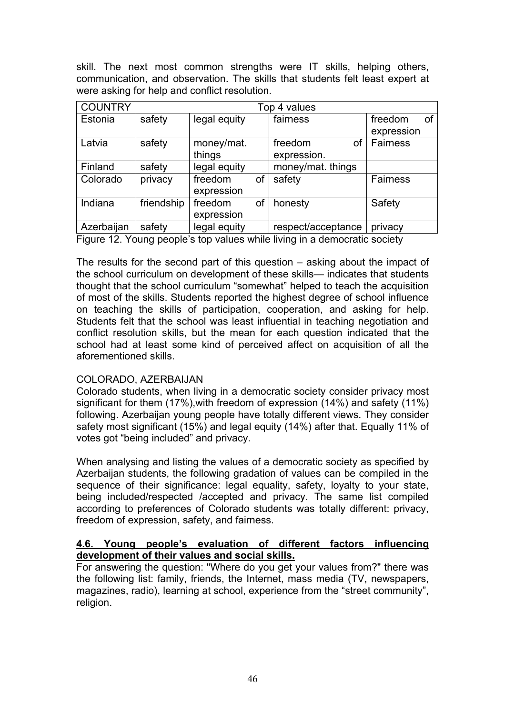skill. The next most common strengths were IT skills, helping others, communication, and observation. The skills that students felt least expert at were asking for help and conflict resolution.

| <b>COUNTRY</b> |            | Top 4 values |    |                    |    |                 |    |  |
|----------------|------------|--------------|----|--------------------|----|-----------------|----|--|
| Estonia        | safety     | legal equity |    | fairness           |    | freedom         | 0f |  |
|                |            |              |    |                    |    | expression      |    |  |
| Latvia         | safety     | money/mat.   |    | freedom            | οf | <b>Fairness</b> |    |  |
|                |            | things       |    | expression.        |    |                 |    |  |
| Finland        | safety     | legal equity |    | money/mat. things  |    |                 |    |  |
| Colorado       | privacy    | freedom      | οf | safety             |    | <b>Fairness</b> |    |  |
|                |            | expression   |    |                    |    |                 |    |  |
| Indiana        | friendship | freedom      | οf | honesty            |    | Safety          |    |  |
|                |            | expression   |    |                    |    |                 |    |  |
| Azerbaijan     | safety     | legal equity |    | respect/acceptance |    | privacy         |    |  |

Figure 12. Young people's top values while living in a democratic society

The results for the second part of this question – asking about the impact of the school curriculum on development of these skills— indicates that students thought that the school curriculum "somewhat" helped to teach the acquisition of most of the skills. Students reported the highest degree of school influence on teaching the skills of participation, cooperation, and asking for help. Students felt that the school was least influential in teaching negotiation and conflict resolution skills, but the mean for each question indicated that the school had at least some kind of perceived affect on acquisition of all the aforementioned skills.

# COLORADO, AZERBAIJAN

Colorado students, when living in a democratic society consider privacy most significant for them (17%),with freedom of expression (14%) and safety (11%) following. Azerbaijan young people have totally different views. They consider safety most significant (15%) and legal equity (14%) after that. Equally 11% of votes got "being included" and privacy.

When analysing and listing the values of a democratic society as specified by Azerbaijan students, the following gradation of values can be compiled in the sequence of their significance: legal equality, safety, loyalty to your state, being included/respected /accepted and privacy. The same list compiled according to preferences of Colorado students was totally different: privacy, freedom of expression, safety, and fairness.

# **4.6. Young people's evaluation of different factors influencing development of their values and social skills.**

For answering the question: "Where do you get your values from?" there was the following list: family, friends, the Internet, mass media (TV, newspapers, magazines, radio), learning at school, experience from the "street community", religion.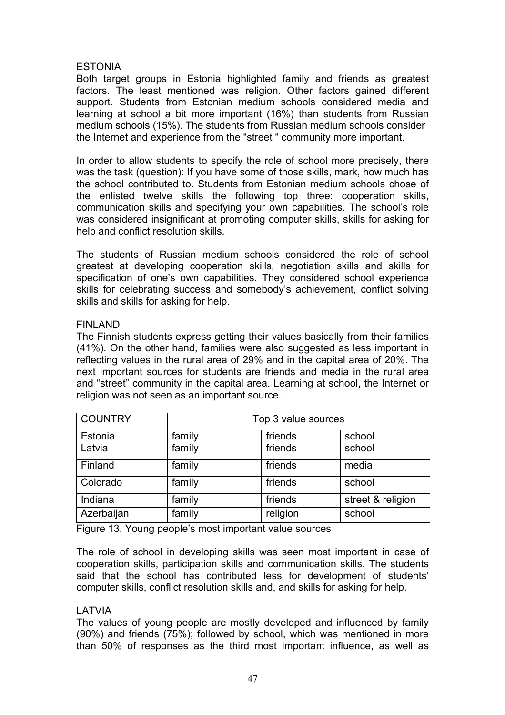# ESTONIA

Both target groups in Estonia highlighted family and friends as greatest factors. The least mentioned was religion. Other factors gained different support. Students from Estonian medium schools considered media and learning at school a bit more important (16%) than students from Russian medium schools (15%). The students from Russian medium schools consider the Internet and experience from the "street " community more important.

In order to allow students to specify the role of school more precisely, there was the task (question): If you have some of those skills, mark, how much has the school contributed to. Students from Estonian medium schools chose of the enlisted twelve skills the following top three: cooperation skills, communication skills and specifying your own capabilities. The school's role was considered insignificant at promoting computer skills, skills for asking for help and conflict resolution skills.

The students of Russian medium schools considered the role of school greatest at developing cooperation skills, negotiation skills and skills for specification of one's own capabilities. They considered school experience skills for celebrating success and somebody's achievement, conflict solving skills and skills for asking for help.

# FINLAND

The Finnish students express getting their values basically from their families (41%). On the other hand, families were also suggested as less important in reflecting values in the rural area of 29% and in the capital area of 20%. The next important sources for students are friends and media in the rural area and "street" community in the capital area. Learning at school, the Internet or religion was not seen as an important source.

| <b>COUNTRY</b> | Top 3 value sources |          |                   |  |  |  |  |  |
|----------------|---------------------|----------|-------------------|--|--|--|--|--|
| Estonia        | family              | friends  | school            |  |  |  |  |  |
| Latvia         | family              | friends  | school            |  |  |  |  |  |
| Finland        | family              | friends  | media             |  |  |  |  |  |
| Colorado       | family              | friends  | school            |  |  |  |  |  |
| Indiana        | family              | friends  | street & religion |  |  |  |  |  |
| Azerbaijan     | family              | religion | school            |  |  |  |  |  |

Figure 13. Young people's most important value sources

The role of school in developing skills was seen most important in case of cooperation skills, participation skills and communication skills. The students said that the school has contributed less for development of students' computer skills, conflict resolution skills and, and skills for asking for help.

# LATVIA

The values of young people are mostly developed and influenced by family (90%) and friends (75%); followed by school, which was mentioned in more than 50% of responses as the third most important influence, as well as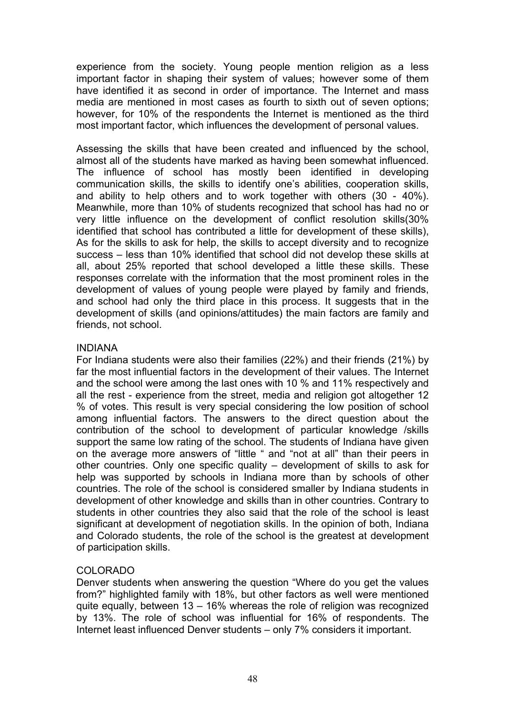experience from the society. Young people mention religion as a less important factor in shaping their system of values; however some of them have identified it as second in order of importance. The Internet and mass media are mentioned in most cases as fourth to sixth out of seven options; however, for 10% of the respondents the Internet is mentioned as the third most important factor, which influences the development of personal values.

Assessing the skills that have been created and influenced by the school, almost all of the students have marked as having been somewhat influenced. The influence of school has mostly been identified in developing communication skills, the skills to identify one's abilities, cooperation skills, and ability to help others and to work together with others (30 - 40%). Meanwhile, more than 10% of students recognized that school has had no or very little influence on the development of conflict resolution skills(30% identified that school has contributed a little for development of these skills), As for the skills to ask for help, the skills to accept diversity and to recognize success – less than 10% identified that school did not develop these skills at all, about 25% reported that school developed a little these skills. These responses correlate with the information that the most prominent roles in the development of values of young people were played by family and friends, and school had only the third place in this process. It suggests that in the development of skills (and opinions/attitudes) the main factors are family and friends, not school.

# INDIANA

For Indiana students were also their families (22%) and their friends (21%) by far the most influential factors in the development of their values. The Internet and the school were among the last ones with 10 % and 11% respectively and all the rest - experience from the street, media and religion got altogether 12 % of votes. This result is very special considering the low position of school among influential factors. The answers to the direct question about the contribution of the school to development of particular knowledge /skills support the same low rating of the school. The students of Indiana have given on the average more answers of "little " and "not at all" than their peers in other countries. Only one specific quality – development of skills to ask for help was supported by schools in Indiana more than by schools of other countries. The role of the school is considered smaller by Indiana students in development of other knowledge and skills than in other countries. Contrary to students in other countries they also said that the role of the school is least significant at development of negotiation skills. In the opinion of both, Indiana and Colorado students, the role of the school is the greatest at development of participation skills.

# COLORADO

Denver students when answering the question "Where do you get the values from?" highlighted family with 18%, but other factors as well were mentioned quite equally, between 13 – 16% whereas the role of religion was recognized by 13%. The role of school was influential for 16% of respondents. The Internet least influenced Denver students – only 7% considers it important.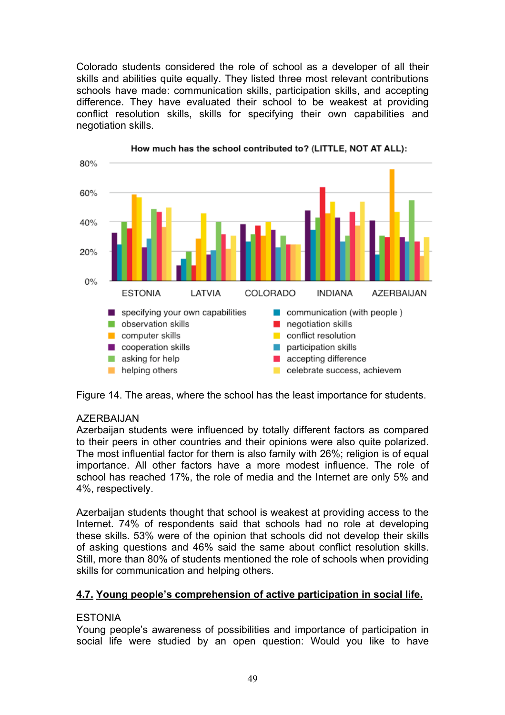Colorado students considered the role of school as a developer of all their skills and abilities quite equally. They listed three most relevant contributions schools have made: communication skills, participation skills, and accepting difference. They have evaluated their school to be weakest at providing conflict resolution skills, skills for specifying their own capabilities and negotiation skills.



How much has the school contributed to? (LITTLE, NOT AT ALL):

Figure 14. The areas, where the school has the least importance for students.

# AZERBAIJAN

Azerbaijan students were influenced by totally different factors as compared to their peers in other countries and their opinions were also quite polarized. The most influential factor for them is also family with 26%; religion is of equal importance. All other factors have a more modest influence. The role of school has reached 17%, the role of media and the Internet are only 5% and 4%, respectively.

Azerbaijan students thought that school is weakest at providing access to the Internet. 74% of respondents said that schools had no role at developing these skills. 53% were of the opinion that schools did not develop their skills of asking questions and 46% said the same about conflict resolution skills. Still, more than 80% of students mentioned the role of schools when providing skills for communication and helping others.

# **4.7. Young people's comprehension of active participation in social life.**

# **ESTONIA**

Young people's awareness of possibilities and importance of participation in social life were studied by an open question: Would you like to have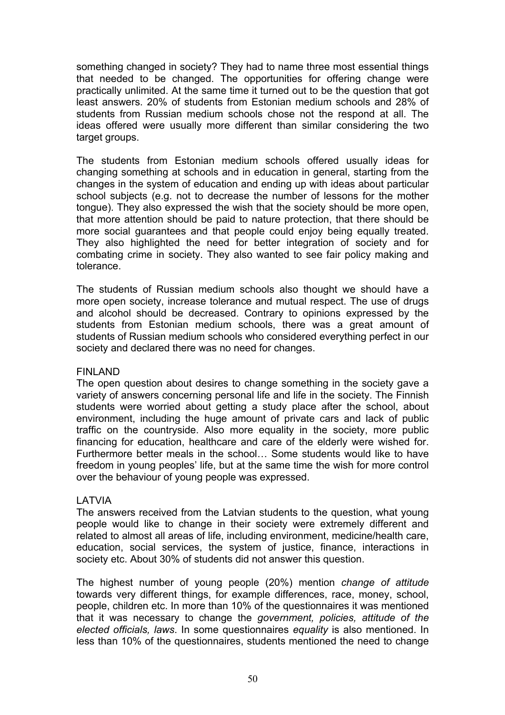something changed in society? They had to name three most essential things that needed to be changed. The opportunities for offering change were practically unlimited. At the same time it turned out to be the question that got least answers. 20% of students from Estonian medium schools and 28% of students from Russian medium schools chose not the respond at all. The ideas offered were usually more different than similar considering the two target groups.

The students from Estonian medium schools offered usually ideas for changing something at schools and in education in general, starting from the changes in the system of education and ending up with ideas about particular school subjects (e.g. not to decrease the number of lessons for the mother tongue). They also expressed the wish that the society should be more open, that more attention should be paid to nature protection, that there should be more social guarantees and that people could enjoy being equally treated. They also highlighted the need for better integration of society and for combating crime in society. They also wanted to see fair policy making and tolerance.

The students of Russian medium schools also thought we should have a more open society, increase tolerance and mutual respect. The use of drugs and alcohol should be decreased. Contrary to opinions expressed by the students from Estonian medium schools, there was a great amount of students of Russian medium schools who considered everything perfect in our society and declared there was no need for changes.

# FINLAND

The open question about desires to change something in the society gave a variety of answers concerning personal life and life in the society. The Finnish students were worried about getting a study place after the school, about environment, including the huge amount of private cars and lack of public traffic on the countryside. Also more equality in the society, more public financing for education, healthcare and care of the elderly were wished for. Furthermore better meals in the school… Some students would like to have freedom in young peoples' life, but at the same time the wish for more control over the behaviour of young people was expressed.

# LATVIA

The answers received from the Latvian students to the question, what young people would like to change in their society were extremely different and related to almost all areas of life, including environment, medicine/health care, education, social services, the system of justice, finance, interactions in society etc. About 30% of students did not answer this question.

The highest number of young people (20%) mention *change of attitude* towards very different things, for example differences, race, money, school, people, children etc. In more than 10% of the questionnaires it was mentioned that it was necessary to change the *government, policies, attitude of the elected officials, laws*. In some questionnaires *equality* is also mentioned. In less than 10% of the questionnaires, students mentioned the need to change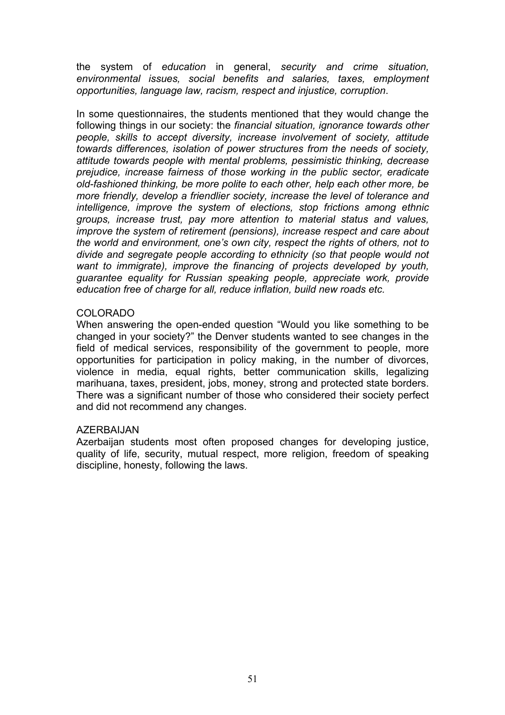the system of *education* in general, *security and crime situation, environmental issues, social benefits and salaries, taxes, employment opportunities, language law, racism, respect and injustice, corruption*.

In some questionnaires, the students mentioned that they would change the following things in our society: the *financial situation, ignorance towards other people, skills to accept diversity, increase involvement of society, attitude towards differences, isolation of power structures from the needs of society, attitude towards people with mental problems, pessimistic thinking, decrease prejudice, increase fairness of those working in the public sector, eradicate old-fashioned thinking, be more polite to each other, help each other more, be more friendly, develop a friendlier society, increase the level of tolerance and intelligence, improve the system of elections, stop frictions among ethnic groups, increase trust, pay more attention to material status and values, improve the system of retirement (pensions), increase respect and care about the world and environment, one's own city, respect the rights of others, not to divide and segregate people according to ethnicity (so that people would not want to immigrate), improve the financing of projects developed by youth, guarantee equality for Russian speaking people, appreciate work, provide education free of charge for all, reduce inflation, build new roads etc.*

#### COLORADO

When answering the open-ended question "Would you like something to be changed in your society?" the Denver students wanted to see changes in the field of medical services, responsibility of the government to people, more opportunities for participation in policy making, in the number of divorces, violence in media, equal rights, better communication skills, legalizing marihuana, taxes, president, jobs, money, strong and protected state borders. There was a significant number of those who considered their society perfect and did not recommend any changes.

# AZERBAIJAN

Azerbaijan students most often proposed changes for developing justice, quality of life, security, mutual respect, more religion, freedom of speaking discipline, honesty, following the laws.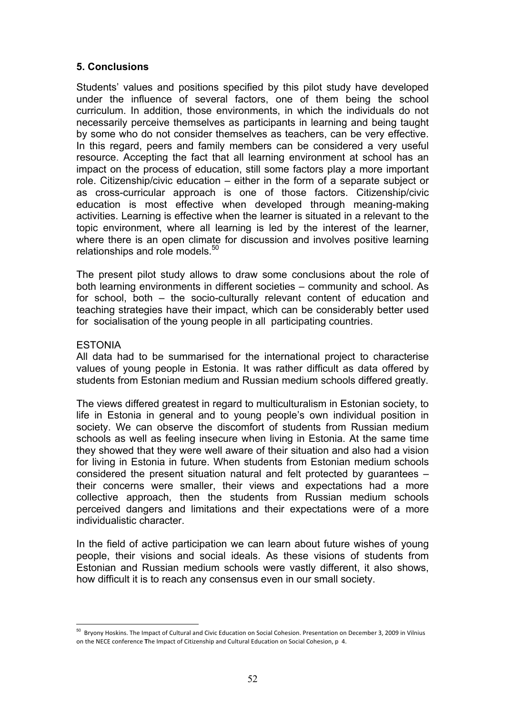# **5. Conclusions**

Students' values and positions specified by this pilot study have developed under the influence of several factors, one of them being the school curriculum. In addition, those environments, in which the individuals do not necessarily perceive themselves as participants in learning and being taught by some who do not consider themselves as teachers, can be very effective. In this regard, peers and family members can be considered a very useful resource. Accepting the fact that all learning environment at school has an impact on the process of education, still some factors play a more important role. Citizenship/civic education – either in the form of a separate subject or as cross-curricular approach is one of those factors. Citizenship/civic education is most effective when developed through meaning-making activities. Learning is effective when the learner is situated in a relevant to the topic environment, where all learning is led by the interest of the learner, where there is an open climate for discussion and involves positive learning relationships and role models.<sup>50</sup>

The present pilot study allows to draw some conclusions about the role of both learning environments in different societies – community and school. As for school, both – the socio-culturally relevant content of education and teaching strategies have their impact, which can be considerably better used for socialisation of the young people in all participating countries.

#### ESTONIA

 $\overline{a}$ 

All data had to be summarised for the international project to characterise values of young people in Estonia. It was rather difficult as data offered by students from Estonian medium and Russian medium schools differed greatly.

The views differed greatest in regard to multiculturalism in Estonian society, to life in Estonia in general and to young people's own individual position in society. We can observe the discomfort of students from Russian medium schools as well as feeling insecure when living in Estonia. At the same time they showed that they were well aware of their situation and also had a vision for living in Estonia in future. When students from Estonian medium schools considered the present situation natural and felt protected by guarantees – their concerns were smaller, their views and expectations had a more collective approach, then the students from Russian medium schools perceived dangers and limitations and their expectations were of a more individualistic character.

In the field of active participation we can learn about future wishes of young people, their visions and social ideals. As these visions of students from Estonian and Russian medium schools were vastly different, it also shows, how difficult it is to reach any consensus even in our small society.

<sup>&</sup>lt;sup>50</sup> Bryony Hoskins. The Impact of Cultural and Civic Education on Social Cohesion. Presentation on December 3, 2009 in Vilnius on the NECE conference The Impact of Citizenship and Cultural Education on Social Cohesion, p 4.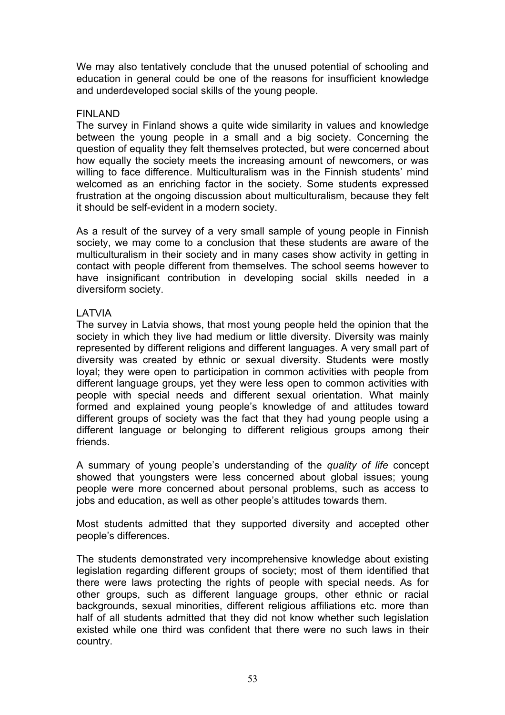We may also tentatively conclude that the unused potential of schooling and education in general could be one of the reasons for insufficient knowledge and underdeveloped social skills of the young people.

#### FINLAND

The survey in Finland shows a quite wide similarity in values and knowledge between the young people in a small and a big society. Concerning the question of equality they felt themselves protected, but were concerned about how equally the society meets the increasing amount of newcomers, or was willing to face difference. Multiculturalism was in the Finnish students' mind welcomed as an enriching factor in the society. Some students expressed frustration at the ongoing discussion about multiculturalism, because they felt it should be self-evident in a modern society.

As a result of the survey of a very small sample of young people in Finnish society, we may come to a conclusion that these students are aware of the multiculturalism in their society and in many cases show activity in getting in contact with people different from themselves. The school seems however to have insignificant contribution in developing social skills needed in a diversiform society.

# LATVIA

The survey in Latvia shows, that most young people held the opinion that the society in which they live had medium or little diversity. Diversity was mainly represented by different religions and different languages. A very small part of diversity was created by ethnic or sexual diversity. Students were mostly loyal; they were open to participation in common activities with people from different language groups, yet they were less open to common activities with people with special needs and different sexual orientation. What mainly formed and explained young people's knowledge of and attitudes toward different groups of society was the fact that they had young people using a different language or belonging to different religious groups among their friends.

A summary of young people's understanding of the *quality of life* concept showed that youngsters were less concerned about global issues; young people were more concerned about personal problems, such as access to jobs and education, as well as other people's attitudes towards them.

Most students admitted that they supported diversity and accepted other people's differences.

The students demonstrated very incomprehensive knowledge about existing legislation regarding different groups of society; most of them identified that there were laws protecting the rights of people with special needs. As for other groups, such as different language groups, other ethnic or racial backgrounds, sexual minorities, different religious affiliations etc. more than half of all students admitted that they did not know whether such legislation existed while one third was confident that there were no such laws in their country.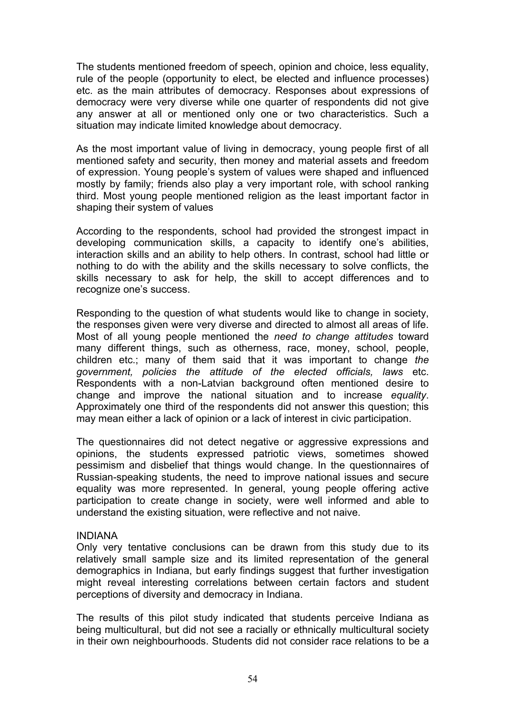The students mentioned freedom of speech, opinion and choice, less equality, rule of the people (opportunity to elect, be elected and influence processes) etc. as the main attributes of democracy. Responses about expressions of democracy were very diverse while one quarter of respondents did not give any answer at all or mentioned only one or two characteristics. Such a situation may indicate limited knowledge about democracy.

As the most important value of living in democracy, young people first of all mentioned safety and security, then money and material assets and freedom of expression. Young people's system of values were shaped and influenced mostly by family; friends also play a very important role, with school ranking third. Most young people mentioned religion as the least important factor in shaping their system of values

According to the respondents, school had provided the strongest impact in developing communication skills, a capacity to identify one's abilities, interaction skills and an ability to help others. In contrast, school had little or nothing to do with the ability and the skills necessary to solve conflicts, the skills necessary to ask for help, the skill to accept differences and to recognize one's success.

Responding to the question of what students would like to change in society, the responses given were very diverse and directed to almost all areas of life. Most of all young people mentioned the *need to change attitudes* toward many different things, such as otherness, race, money, school, people, children etc.; many of them said that it was important to change *the government, policies the attitude of the elected officials, laws* etc. Respondents with a non-Latvian background often mentioned desire to change and improve the national situation and to increase *equality*. Approximately one third of the respondents did not answer this question; this may mean either a lack of opinion or a lack of interest in civic participation.

The questionnaires did not detect negative or aggressive expressions and opinions, the students expressed patriotic views, sometimes showed pessimism and disbelief that things would change. In the questionnaires of Russian-speaking students, the need to improve national issues and secure equality was more represented. In general, young people offering active participation to create change in society, were well informed and able to understand the existing situation, were reflective and not naive.

#### INDIANA

Only very tentative conclusions can be drawn from this study due to its relatively small sample size and its limited representation of the general demographics in Indiana, but early findings suggest that further investigation might reveal interesting correlations between certain factors and student perceptions of diversity and democracy in Indiana.

The results of this pilot study indicated that students perceive Indiana as being multicultural, but did not see a racially or ethnically multicultural society in their own neighbourhoods. Students did not consider race relations to be a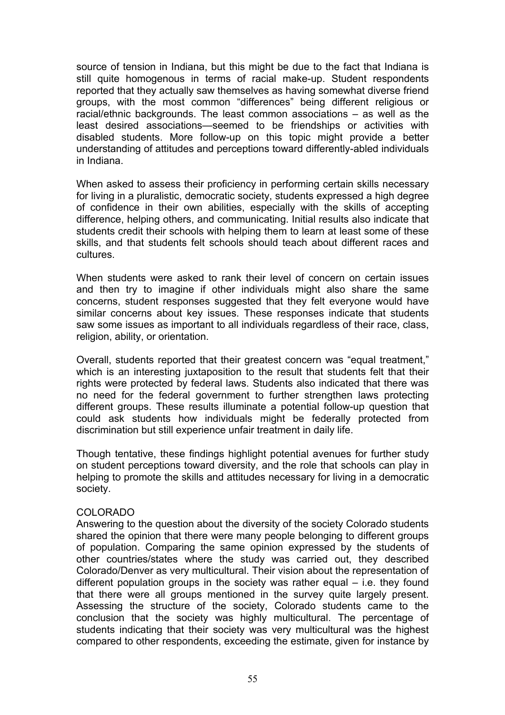source of tension in Indiana, but this might be due to the fact that Indiana is still quite homogenous in terms of racial make-up. Student respondents reported that they actually saw themselves as having somewhat diverse friend groups, with the most common "differences" being different religious or racial/ethnic backgrounds. The least common associations – as well as the least desired associations—seemed to be friendships or activities with disabled students. More follow-up on this topic might provide a better understanding of attitudes and perceptions toward differently-abled individuals in Indiana.

When asked to assess their proficiency in performing certain skills necessary for living in a pluralistic, democratic society, students expressed a high degree of confidence in their own abilities, especially with the skills of accepting difference, helping others, and communicating. Initial results also indicate that students credit their schools with helping them to learn at least some of these skills, and that students felt schools should teach about different races and cultures.

When students were asked to rank their level of concern on certain issues and then try to imagine if other individuals might also share the same concerns, student responses suggested that they felt everyone would have similar concerns about key issues. These responses indicate that students saw some issues as important to all individuals regardless of their race, class, religion, ability, or orientation.

Overall, students reported that their greatest concern was "equal treatment," which is an interesting juxtaposition to the result that students felt that their rights were protected by federal laws. Students also indicated that there was no need for the federal government to further strengthen laws protecting different groups. These results illuminate a potential follow-up question that could ask students how individuals might be federally protected from discrimination but still experience unfair treatment in daily life.

Though tentative, these findings highlight potential avenues for further study on student perceptions toward diversity, and the role that schools can play in helping to promote the skills and attitudes necessary for living in a democratic society.

# COLORADO

Answering to the question about the diversity of the society Colorado students shared the opinion that there were many people belonging to different groups of population. Comparing the same opinion expressed by the students of other countries/states where the study was carried out, they described Colorado/Denver as very multicultural. Their vision about the representation of different population groups in the society was rather equal – i.e. they found that there were all groups mentioned in the survey quite largely present. Assessing the structure of the society, Colorado students came to the conclusion that the society was highly multicultural. The percentage of students indicating that their society was very multicultural was the highest compared to other respondents, exceeding the estimate, given for instance by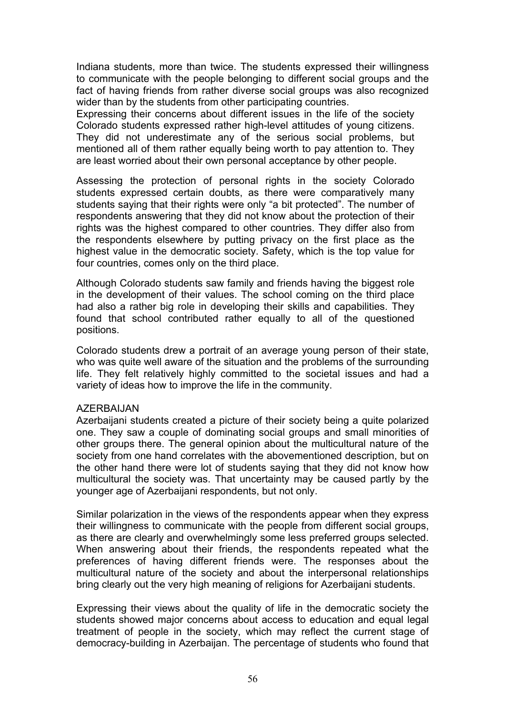Indiana students, more than twice. The students expressed their willingness to communicate with the people belonging to different social groups and the fact of having friends from rather diverse social groups was also recognized wider than by the students from other participating countries.

Expressing their concerns about different issues in the life of the society Colorado students expressed rather high-level attitudes of young citizens. They did not underestimate any of the serious social problems, but mentioned all of them rather equally being worth to pay attention to. They are least worried about their own personal acceptance by other people.

Assessing the protection of personal rights in the society Colorado students expressed certain doubts, as there were comparatively many students saying that their rights were only "a bit protected". The number of respondents answering that they did not know about the protection of their rights was the highest compared to other countries. They differ also from the respondents elsewhere by putting privacy on the first place as the highest value in the democratic society. Safety, which is the top value for four countries, comes only on the third place.

Although Colorado students saw family and friends having the biggest role in the development of their values. The school coming on the third place had also a rather big role in developing their skills and capabilities. They found that school contributed rather equally to all of the questioned positions.

Colorado students drew a portrait of an average young person of their state, who was quite well aware of the situation and the problems of the surrounding life. They felt relatively highly committed to the societal issues and had a variety of ideas how to improve the life in the community.

#### AZERBAIJAN

Azerbaijani students created a picture of their society being a quite polarized one. They saw a couple of dominating social groups and small minorities of other groups there. The general opinion about the multicultural nature of the society from one hand correlates with the abovementioned description, but on the other hand there were lot of students saying that they did not know how multicultural the society was. That uncertainty may be caused partly by the younger age of Azerbaijani respondents, but not only.

Similar polarization in the views of the respondents appear when they express their willingness to communicate with the people from different social groups, as there are clearly and overwhelmingly some less preferred groups selected. When answering about their friends, the respondents repeated what the preferences of having different friends were. The responses about the multicultural nature of the society and about the interpersonal relationships bring clearly out the very high meaning of religions for Azerbaijani students.

Expressing their views about the quality of life in the democratic society the students showed major concerns about access to education and equal legal treatment of people in the society, which may reflect the current stage of democracy-building in Azerbaijan. The percentage of students who found that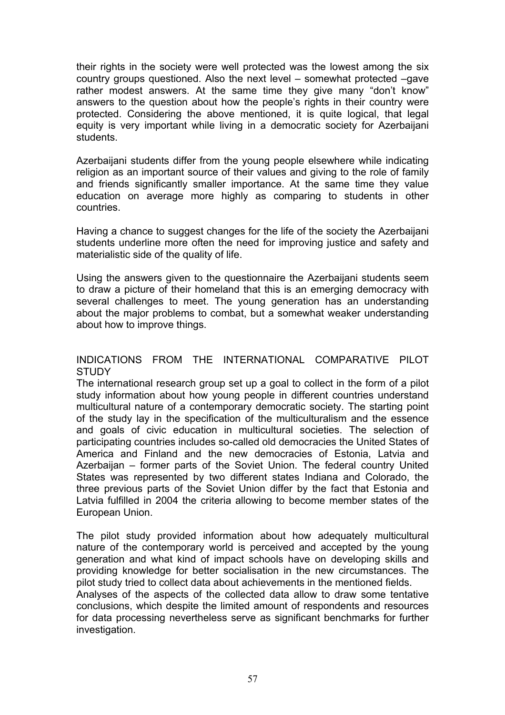their rights in the society were well protected was the lowest among the six country groups questioned. Also the next level – somewhat protected –gave rather modest answers. At the same time they give many "don't know" answers to the question about how the people's rights in their country were protected. Considering the above mentioned, it is quite logical, that legal equity is very important while living in a democratic society for Azerbaijani students.

Azerbaijani students differ from the young people elsewhere while indicating religion as an important source of their values and giving to the role of family and friends significantly smaller importance. At the same time they value education on average more highly as comparing to students in other countries.

Having a chance to suggest changes for the life of the society the Azerbaijani students underline more often the need for improving justice and safety and materialistic side of the quality of life.

Using the answers given to the questionnaire the Azerbaijani students seem to draw a picture of their homeland that this is an emerging democracy with several challenges to meet. The young generation has an understanding about the major problems to combat, but a somewhat weaker understanding about how to improve things.

# INDICATIONS FROM THE INTERNATIONAL COMPARATIVE PILOT **STUDY**

The international research group set up a goal to collect in the form of a pilot study information about how young people in different countries understand multicultural nature of a contemporary democratic society. The starting point of the study lay in the specification of the multiculturalism and the essence and goals of civic education in multicultural societies. The selection of participating countries includes so-called old democracies the United States of America and Finland and the new democracies of Estonia, Latvia and Azerbaijan – former parts of the Soviet Union. The federal country United States was represented by two different states Indiana and Colorado, the three previous parts of the Soviet Union differ by the fact that Estonia and Latvia fulfilled in 2004 the criteria allowing to become member states of the European Union.

The pilot study provided information about how adequately multicultural nature of the contemporary world is perceived and accepted by the young generation and what kind of impact schools have on developing skills and providing knowledge for better socialisation in the new circumstances. The pilot study tried to collect data about achievements in the mentioned fields.

Analyses of the aspects of the collected data allow to draw some tentative conclusions, which despite the limited amount of respondents and resources for data processing nevertheless serve as significant benchmarks for further investigation.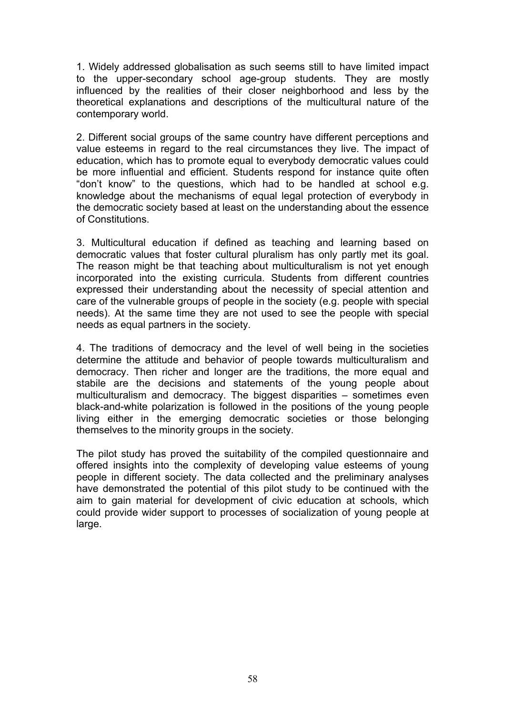1. Widely addressed globalisation as such seems still to have limited impact to the upper-secondary school age-group students. They are mostly influenced by the realities of their closer neighborhood and less by the theoretical explanations and descriptions of the multicultural nature of the contemporary world.

2. Different social groups of the same country have different perceptions and value esteems in regard to the real circumstances they live. The impact of education, which has to promote equal to everybody democratic values could be more influential and efficient. Students respond for instance quite often "don't know" to the questions, which had to be handled at school e.g. knowledge about the mechanisms of equal legal protection of everybody in the democratic society based at least on the understanding about the essence of Constitutions.

3. Multicultural education if defined as teaching and learning based on democratic values that foster cultural pluralism has only partly met its goal. The reason might be that teaching about multiculturalism is not yet enough incorporated into the existing curricula. Students from different countries expressed their understanding about the necessity of special attention and care of the vulnerable groups of people in the society (e.g. people with special needs). At the same time they are not used to see the people with special needs as equal partners in the society.

4. The traditions of democracy and the level of well being in the societies determine the attitude and behavior of people towards multiculturalism and democracy. Then richer and longer are the traditions, the more equal and stabile are the decisions and statements of the young people about multiculturalism and democracy. The biggest disparities – sometimes even black-and-white polarization is followed in the positions of the young people living either in the emerging democratic societies or those belonging themselves to the minority groups in the society.

The pilot study has proved the suitability of the compiled questionnaire and offered insights into the complexity of developing value esteems of young people in different society. The data collected and the preliminary analyses have demonstrated the potential of this pilot study to be continued with the aim to gain material for development of civic education at schools, which could provide wider support to processes of socialization of young people at large.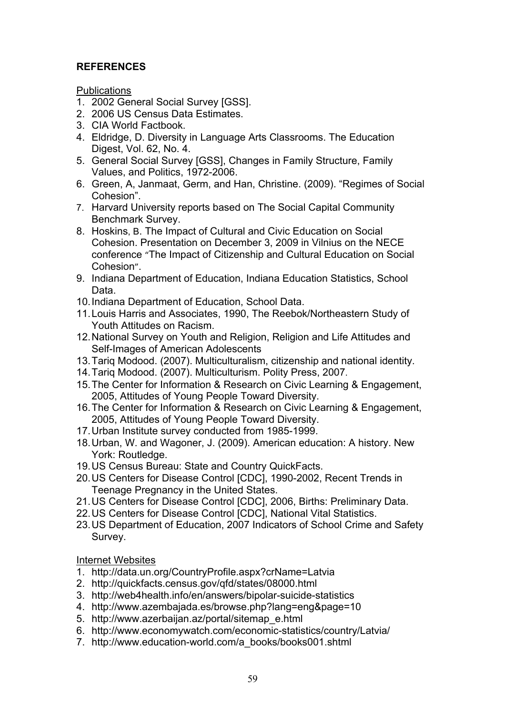# **REFERENCES**

**Publications** 

- 1. 2002 General Social Survey [GSS].
- 2. 2006 US Census Data Estimates.
- 3. CIA World Factbook.
- 4. Eldridge, D. Diversity in Language Arts Classrooms. The Education Digest, Vol. 62, No. 4.
- 5. General Social Survey [GSS], Changes in Family Structure, Family Values, and Politics, 1972-2006.
- 6. Green, A, Janmaat, Germ, and Han, Christine. (2009). "Regimes of Social Cohesion".
- 7. Harvard University reports based on The Social Capital Community Benchmark Survey.
- 8. Hoskins, B. The Impact of Cultural and Civic Education on Social Cohesion. Presentation on December 3, 2009 in Vilnius on the NECE conference "The Impact of Citizenship and Cultural Education on Social Cohesion".
- 9. Indiana Department of Education, Indiana Education Statistics, School Data.
- 10.Indiana Department of Education, School Data.
- 11.Louis Harris and Associates, 1990, The Reebok/Northeastern Study of Youth Attitudes on Racism.
- 12.National Survey on Youth and Religion, Religion and Life Attitudes and Self-Images of American Adolescents
- 13.Tariq Modood. (2007). Multiculturalism, citizenship and national identity.
- 14.Tariq Modood. (2007). Multiculturism. Polity Press, 2007.
- 15.The Center for Information & Research on Civic Learning & Engagement, 2005, Attitudes of Young People Toward Diversity.
- 16.The Center for Information & Research on Civic Learning & Engagement, 2005, Attitudes of Young People Toward Diversity.
- 17.Urban Institute survey conducted from 1985-1999.
- 18.Urban, W. and Wagoner, J. (2009). American education: A history. New York: Routledge.
- 19.US Census Bureau: State and Country QuickFacts.
- 20.US Centers for Disease Control [CDC], 1990-2002, Recent Trends in Teenage Pregnancy in the United States.
- 21.US Centers for Disease Control [CDC], 2006, Births: Preliminary Data.
- 22.US Centers for Disease Control [CDC], National Vital Statistics.
- 23.US Department of Education, 2007 Indicators of School Crime and Safety Survey.

Internet Websites

- 1. http://data.un.org/CountryProfile.aspx?crName=Latvia
- 2. http://quickfacts.census.gov/qfd/states/08000.html
- 3. http://web4health.info/en/answers/bipolar-suicide-statistics
- 4. http://www.azembajada.es/browse.php?lang=eng&page=10
- 5. http://www.azerbaijan.az/portal/sitemap\_e.html
- 6. http://www.economywatch.com/economic-statistics/country/Latvia/
- 7. http://www.education-world.com/a\_books/books001.shtml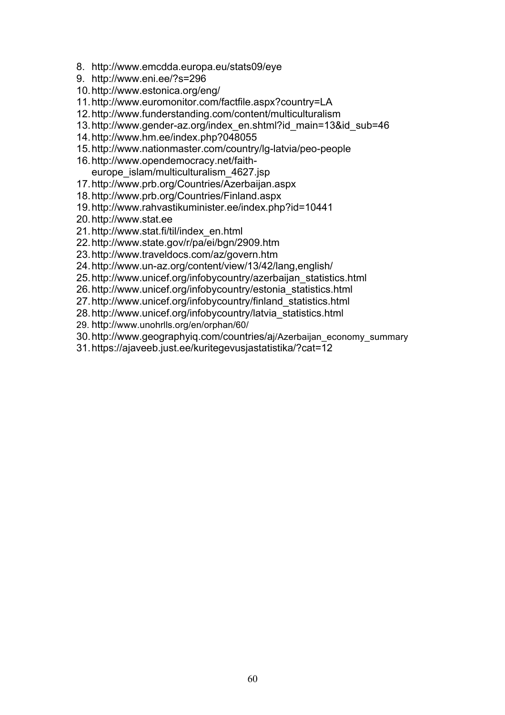- 8. http://www.emcdda.europa.eu/stats09/eye
- 9. http://www.eni.ee/?s=296
- 10.http://www.estonica.org/eng/
- 11.http://www.euromonitor.com/factfile.aspx?country=LA
- 12.http://www.funderstanding.com/content/multiculturalism
- 13.http://www.gender-az.org/index\_en.shtml?id\_main=13&id\_sub=46
- 14.http://www.hm.ee/index.php?048055
- 15.http://www.nationmaster.com/country/lg-latvia/peo-people
- 16.http://www.opendemocracy.net/faitheurope\_islam/multiculturalism\_4627.jsp
- 17.http://www.prb.org/Countries/Azerbaijan.aspx
- 18.http://www.prb.org/Countries/Finland.aspx
- 19.http://www.rahvastikuminister.ee/index.php?id=10441
- 20.http://www.stat.ee
- 21.http://www.stat.fi/til/index\_en.html
- 22.http://www.state.gov/r/pa/ei/bgn/2909.htm
- 23.http://www.traveldocs.com/az/govern.htm
- 24.http://www.un-az.org/content/view/13/42/lang,english/
- 25.http://www.unicef.org/infobycountry/azerbaijan\_statistics.html
- 26.http://www.unicef.org/infobycountry/estonia\_statistics.html
- 27.http://www.unicef.org/infobycountry/finland\_statistics.html
- 28.http://www.unicef.org/infobycountry/latvia\_statistics.html
- 29. http://www.unohrlls.org/en/orphan/60/
- 30.http://www.geographyiq.com/countries/aj/Azerbaijan\_economy\_summary
- 31.https://ajaveeb.just.ee/kuritegevusjastatistika/?cat=12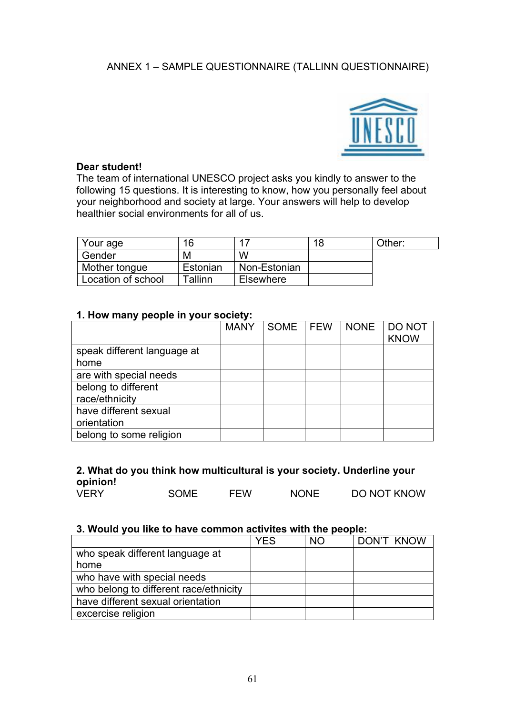# ANNEX 1 – SAMPLE QUESTIONNAIRE (TALLINN QUESTIONNAIRE)



# **Dear student!**

The team of international UNESCO project asks you kindly to answer to the following 15 questions. It is interesting to know, how you personally feel about your neighborhood and society at large. Your answers will help to develop healthier social environments for all of us.

| Your age           | 16       | и                | 18 | Other: |
|--------------------|----------|------------------|----|--------|
| Gender             | М        | W                |    |        |
| Mother tongue      | Estonian | Non-Estonian     |    |        |
| Location of school | Tallinn  | <b>Elsewhere</b> |    |        |

# **1. How many people in your society:**

|                             | <b>MANY</b> | SOME   FEW | <b>NONE</b> | <b>DO NOT</b><br><b>KNOW</b> |
|-----------------------------|-------------|------------|-------------|------------------------------|
| speak different language at |             |            |             |                              |
| home                        |             |            |             |                              |
| are with special needs      |             |            |             |                              |
| belong to different         |             |            |             |                              |
| race/ethnicity              |             |            |             |                              |
| have different sexual       |             |            |             |                              |
| orientation                 |             |            |             |                              |
| belong to some religion     |             |            |             |                              |

# **2. What do you think how multicultural is your society. Underline your opinion!**

|  | <b>VERY</b> | <b>SOME</b> | FEW | <b>NONE</b> | <b>DO NOT KNOW</b> |
|--|-------------|-------------|-----|-------------|--------------------|
|--|-------------|-------------|-----|-------------|--------------------|

#### **3. Would you like to have common activites with the people:**

|                                        | <b>YES</b> | <b>NO</b> | DON'T KNOW |
|----------------------------------------|------------|-----------|------------|
| who speak different language at        |            |           |            |
| home                                   |            |           |            |
| who have with special needs            |            |           |            |
| who belong to different race/ethnicity |            |           |            |
| have different sexual orientation      |            |           |            |
| excercise religion                     |            |           |            |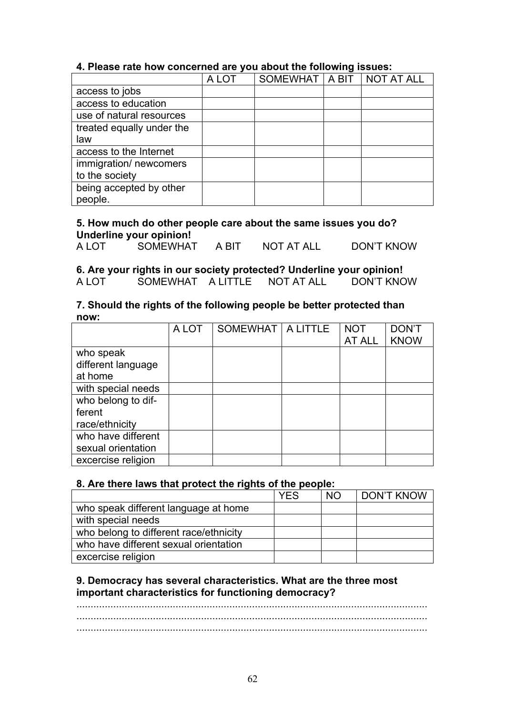# **4. Please rate how concerned are you about the following issues:**

|                           | A LOT | SOMEWHAT   A BIT   NOT AT ALL |  |
|---------------------------|-------|-------------------------------|--|
| access to jobs            |       |                               |  |
| access to education       |       |                               |  |
| use of natural resources  |       |                               |  |
| treated equally under the |       |                               |  |
| law                       |       |                               |  |
| access to the Internet    |       |                               |  |
| immigration/ newcomers    |       |                               |  |
| to the society            |       |                               |  |
| being accepted by other   |       |                               |  |
| people.                   |       |                               |  |

# **5. How much do other people care about the same issues you do? Underline your opinion!**

| A LOT | <b>SOMEWHAT</b> | A BIT | NOT AT ALL | <b>DON'T KNOW</b> |
|-------|-----------------|-------|------------|-------------------|
|       |                 |       |            |                   |
|       |                 |       |            |                   |

# **6. Are your rights in our society protected? Underline your opinion!**

A LOT SOMEWHAT A LITTLE NOT AT ALL DON'T KNOW

#### **7. Should the rights of the following people be better protected than now:**

|                                                | A LOT | SOMEWHAT   A LITTLE | <b>NOT</b><br>AT ALL | <b>DON'T</b><br><b>KNOW</b> |
|------------------------------------------------|-------|---------------------|----------------------|-----------------------------|
| who speak<br>different language<br>at home     |       |                     |                      |                             |
| with special needs                             |       |                     |                      |                             |
| who belong to dif-<br>ferent<br>race/ethnicity |       |                     |                      |                             |
| who have different<br>sexual orientation       |       |                     |                      |                             |
| excercise religion                             |       |                     |                      |                             |

# **8. Are there laws that protect the rights of the people:**

|                                        | <b>YES</b> | <b>NO</b> | <b>DON'T KNOW</b> |
|----------------------------------------|------------|-----------|-------------------|
| who speak different language at home   |            |           |                   |
| with special needs                     |            |           |                   |
| who belong to different race/ethnicity |            |           |                   |
| who have different sexual orientation  |            |           |                   |
| excercise religion                     |            |           |                   |

# **9. Democracy has several characteristics. What are the three most important characteristics for functioning democracy?**

............................................................................................................................ ............................................................................................................................ ............................................................................................................................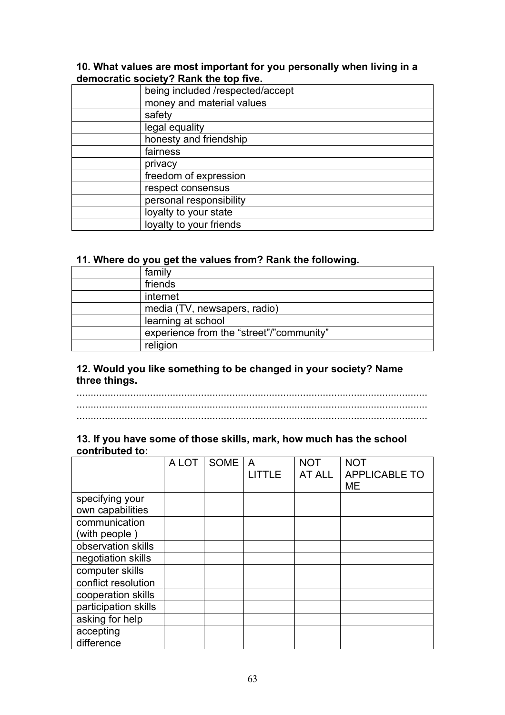#### **10. What values are most important for you personally when living in a democratic society? Rank the top five.**

| being included /respected/accept |
|----------------------------------|
| money and material values        |
| safety                           |
| legal equality                   |
| honesty and friendship           |
| fairness                         |
| privacy                          |
| freedom of expression            |
| respect consensus                |
| personal responsibility          |
| loyalty to your state            |
| loyalty to your friends          |

#### **11. Where do you get the values from? Rank the following.**

| family                                   |
|------------------------------------------|
| friends                                  |
| internet                                 |
| media (TV, newsapers, radio)             |
| learning at school                       |
| experience from the "street"/"community" |
| religion                                 |

# **12. Would you like something to be changed in your society? Name three things.**

............................................................................................................................ ............................................................................................................................ ............................................................................................................................

# **13. If you have some of those skills, mark, how much has the school contributed to:**

|                      | A LOT | SOME | A             | <b>NOT</b> | <b>NOT</b>           |
|----------------------|-------|------|---------------|------------|----------------------|
|                      |       |      | <b>LITTLE</b> | AT ALL     | <b>APPLICABLE TO</b> |
|                      |       |      |               |            | <b>ME</b>            |
| specifying your      |       |      |               |            |                      |
| own capabilities     |       |      |               |            |                      |
| communication        |       |      |               |            |                      |
| (with people)        |       |      |               |            |                      |
| observation skills   |       |      |               |            |                      |
| negotiation skills   |       |      |               |            |                      |
| computer skills      |       |      |               |            |                      |
| conflict resolution  |       |      |               |            |                      |
| cooperation skills   |       |      |               |            |                      |
| participation skills |       |      |               |            |                      |
| asking for help      |       |      |               |            |                      |
| accepting            |       |      |               |            |                      |
| difference           |       |      |               |            |                      |